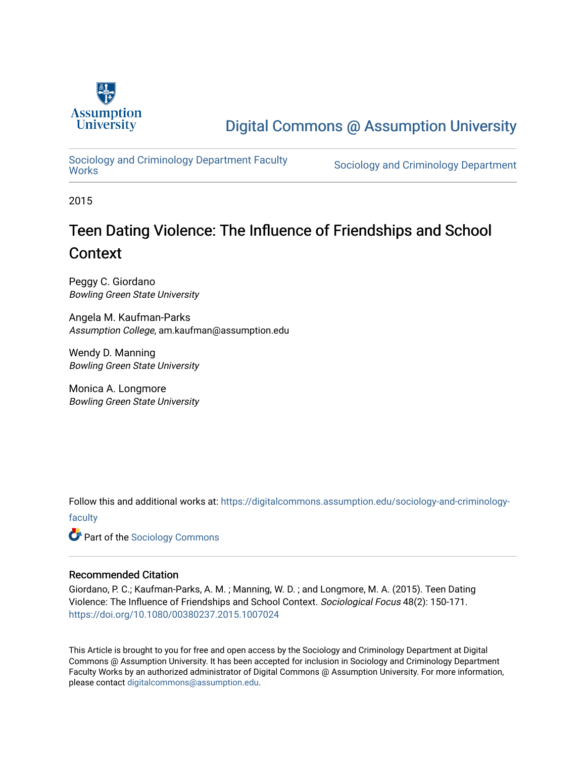

# [Digital Commons @ Assumption University](https://digitalcommons.assumption.edu/)

Sociology and Criminology Department Faculty<br>Works

Sociology and Criminology Department

2015

# Teen Dating Violence: The Influence of Friendships and School Context

Peggy C. Giordano Bowling Green State University

Angela M. Kaufman-Parks Assumption College, am.kaufman@assumption.edu

Wendy D. Manning Bowling Green State University

Monica A. Longmore Bowling Green State University

Follow this and additional works at: [https://digitalcommons.assumption.edu/sociology-and-criminology](https://digitalcommons.assumption.edu/sociology-and-criminology-faculty?utm_source=digitalcommons.assumption.edu%2Fsociology-and-criminology-faculty%2F12&utm_medium=PDF&utm_campaign=PDFCoverPages)[faculty](https://digitalcommons.assumption.edu/sociology-and-criminology-faculty?utm_source=digitalcommons.assumption.edu%2Fsociology-and-criminology-faculty%2F12&utm_medium=PDF&utm_campaign=PDFCoverPages)

**C** Part of the [Sociology Commons](http://network.bepress.com/hgg/discipline/416?utm_source=digitalcommons.assumption.edu%2Fsociology-and-criminology-faculty%2F12&utm_medium=PDF&utm_campaign=PDFCoverPages)

# Recommended Citation

Giordano, P. C.; Kaufman-Parks, A. M. ; Manning, W. D. ; and Longmore, M. A. (2015). Teen Dating Violence: The Influence of Friendships and School Context. Sociological Focus 48(2): 150-171. <https://doi.org/10.1080/00380237.2015.1007024>

This Article is brought to you for free and open access by the Sociology and Criminology Department at Digital Commons @ Assumption University. It has been accepted for inclusion in Sociology and Criminology Department Faculty Works by an authorized administrator of Digital Commons @ Assumption University. For more information, please contact [digitalcommons@assumption.edu](mailto:digitalcommons@assumption.edu).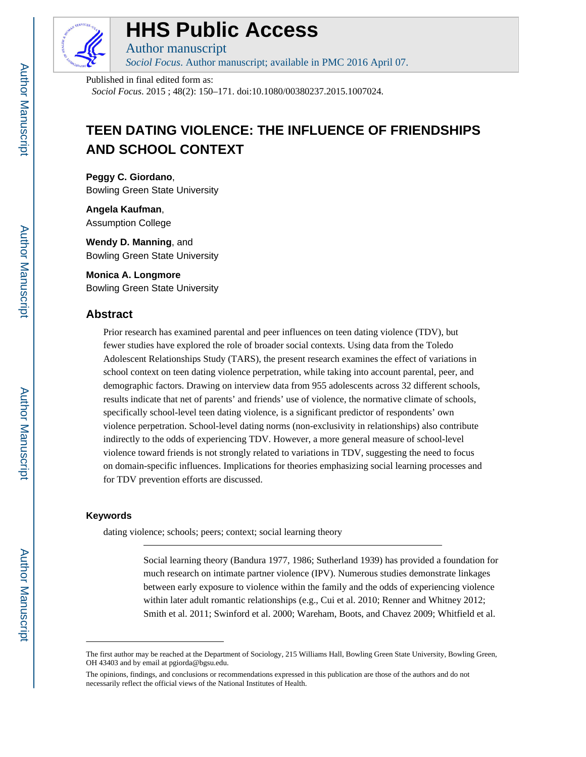

# **HHS Public Access**

Author manuscript *Sociol Focus*. Author manuscript; available in PMC 2016 April 07.

Published in final edited form as: *Sociol Focus*. 2015 ; 48(2): 150–171. doi:10.1080/00380237.2015.1007024.

# **TEEN DATING VIOLENCE: THE INFLUENCE OF FRIENDSHIPS AND SCHOOL CONTEXT**

**Peggy C. Giordano**, Bowling Green State University

**Angela Kaufman**, Assumption College

**Wendy D. Manning**, and Bowling Green State University

**Monica A. Longmore** Bowling Green State University

# **Abstract**

Prior research has examined parental and peer influences on teen dating violence (TDV), but fewer studies have explored the role of broader social contexts. Using data from the Toledo Adolescent Relationships Study (TARS), the present research examines the effect of variations in school context on teen dating violence perpetration, while taking into account parental, peer, and demographic factors. Drawing on interview data from 955 adolescents across 32 different schools, results indicate that net of parents' and friends' use of violence, the normative climate of schools, specifically school-level teen dating violence, is a significant predictor of respondents' own violence perpetration. School-level dating norms (non-exclusivity in relationships) also contribute indirectly to the odds of experiencing TDV. However, a more general measure of school-level violence toward friends is not strongly related to variations in TDV, suggesting the need to focus on domain-specific influences. Implications for theories emphasizing social learning processes and for TDV prevention efforts are discussed.

#### **Keywords**

dating violence; schools; peers; context; social learning theory

Social learning theory (Bandura 1977, 1986; Sutherland 1939) has provided a foundation for much research on intimate partner violence (IPV). Numerous studies demonstrate linkages between early exposure to violence within the family and the odds of experiencing violence within later adult romantic relationships (e.g., Cui et al. 2010; Renner and Whitney 2012; Smith et al. 2011; Swinford et al. 2000; Wareham, Boots, and Chavez 2009; Whitfield et al.

The first author may be reached at the Department of Sociology, 215 Williams Hall, Bowling Green State University, Bowling Green, OH 43403 and by email at pgiorda@bgsu.edu.

The opinions, findings, and conclusions or recommendations expressed in this publication are those of the authors and do not necessarily reflect the official views of the National Institutes of Health.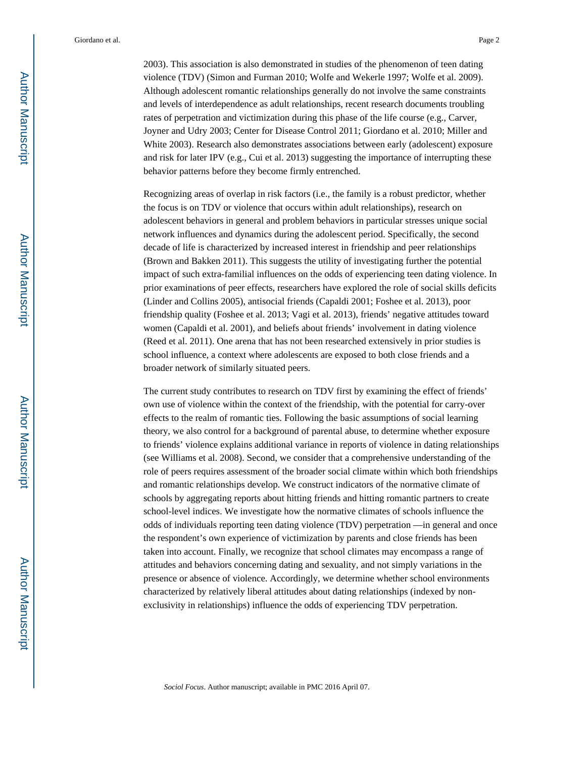2003). This association is also demonstrated in studies of the phenomenon of teen dating violence (TDV) (Simon and Furman 2010; Wolfe and Wekerle 1997; Wolfe et al. 2009). Although adolescent romantic relationships generally do not involve the same constraints and levels of interdependence as adult relationships, recent research documents troubling rates of perpetration and victimization during this phase of the life course (e.g., Carver, Joyner and Udry 2003; Center for Disease Control 2011; Giordano et al. 2010; Miller and White 2003). Research also demonstrates associations between early (adolescent) exposure and risk for later IPV (e.g., Cui et al. 2013) suggesting the importance of interrupting these behavior patterns before they become firmly entrenched.

Recognizing areas of overlap in risk factors (i.e., the family is a robust predictor, whether the focus is on TDV or violence that occurs within adult relationships), research on adolescent behaviors in general and problem behaviors in particular stresses unique social network influences and dynamics during the adolescent period. Specifically, the second decade of life is characterized by increased interest in friendship and peer relationships (Brown and Bakken 2011). This suggests the utility of investigating further the potential impact of such extra-familial influences on the odds of experiencing teen dating violence. In prior examinations of peer effects, researchers have explored the role of social skills deficits (Linder and Collins 2005), antisocial friends (Capaldi 2001; Foshee et al. 2013), poor friendship quality (Foshee et al. 2013; Vagi et al. 2013), friends' negative attitudes toward women (Capaldi et al. 2001), and beliefs about friends' involvement in dating violence (Reed et al. 2011). One arena that has not been researched extensively in prior studies is school influence, a context where adolescents are exposed to both close friends and a broader network of similarly situated peers.

The current study contributes to research on TDV first by examining the effect of friends' own use of violence within the context of the friendship, with the potential for carry-over effects to the realm of romantic ties. Following the basic assumptions of social learning theory, we also control for a background of parental abuse, to determine whether exposure to friends' violence explains additional variance in reports of violence in dating relationships (see Williams et al. 2008). Second, we consider that a comprehensive understanding of the role of peers requires assessment of the broader social climate within which both friendships and romantic relationships develop. We construct indicators of the normative climate of schools by aggregating reports about hitting friends and hitting romantic partners to create school-level indices. We investigate how the normative climates of schools influence the odds of individuals reporting teen dating violence (TDV) perpetration —in general and once the respondent's own experience of victimization by parents and close friends has been taken into account. Finally, we recognize that school climates may encompass a range of attitudes and behaviors concerning dating and sexuality, and not simply variations in the presence or absence of violence. Accordingly, we determine whether school environments characterized by relatively liberal attitudes about dating relationships (indexed by nonexclusivity in relationships) influence the odds of experiencing TDV perpetration.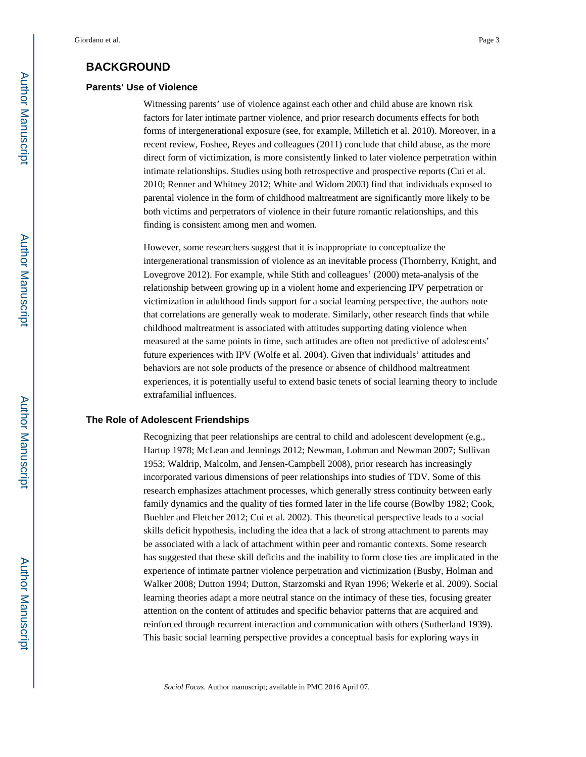#### **BACKGROUND**

#### **Parents' Use of Violence**

Witnessing parents' use of violence against each other and child abuse are known risk factors for later intimate partner violence, and prior research documents effects for both forms of intergenerational exposure (see, for example, Milletich et al. 2010). Moreover, in a recent review, Foshee, Reyes and colleagues (2011) conclude that child abuse, as the more direct form of victimization, is more consistently linked to later violence perpetration within intimate relationships. Studies using both retrospective and prospective reports (Cui et al. 2010; Renner and Whitney 2012; White and Widom 2003) find that individuals exposed to parental violence in the form of childhood maltreatment are significantly more likely to be both victims and perpetrators of violence in their future romantic relationships, and this finding is consistent among men and women.

However, some researchers suggest that it is inappropriate to conceptualize the intergenerational transmission of violence as an inevitable process (Thornberry, Knight, and Lovegrove 2012). For example, while Stith and colleagues' (2000) meta-analysis of the relationship between growing up in a violent home and experiencing IPV perpetration or victimization in adulthood finds support for a social learning perspective, the authors note that correlations are generally weak to moderate. Similarly, other research finds that while childhood maltreatment is associated with attitudes supporting dating violence when measured at the same points in time, such attitudes are often not predictive of adolescents' future experiences with IPV (Wolfe et al. 2004). Given that individuals' attitudes and behaviors are not sole products of the presence or absence of childhood maltreatment experiences, it is potentially useful to extend basic tenets of social learning theory to include extrafamilial influences.

#### **The Role of Adolescent Friendships**

Recognizing that peer relationships are central to child and adolescent development (e.g., Hartup 1978; McLean and Jennings 2012; Newman, Lohman and Newman 2007; Sullivan 1953; Waldrip, Malcolm, and Jensen-Campbell 2008), prior research has increasingly incorporated various dimensions of peer relationships into studies of TDV. Some of this research emphasizes attachment processes, which generally stress continuity between early family dynamics and the quality of ties formed later in the life course (Bowlby 1982; Cook, Buehler and Fletcher 2012; Cui et al. 2002). This theoretical perspective leads to a social skills deficit hypothesis, including the idea that a lack of strong attachment to parents may be associated with a lack of attachment within peer and romantic contexts. Some research has suggested that these skill deficits and the inability to form close ties are implicated in the experience of intimate partner violence perpetration and victimization (Busby, Holman and Walker 2008; Dutton 1994; Dutton, Starzomski and Ryan 1996; Wekerle et al. 2009). Social learning theories adapt a more neutral stance on the intimacy of these ties, focusing greater attention on the content of attitudes and specific behavior patterns that are acquired and reinforced through recurrent interaction and communication with others (Sutherland 1939). This basic social learning perspective provides a conceptual basis for exploring ways in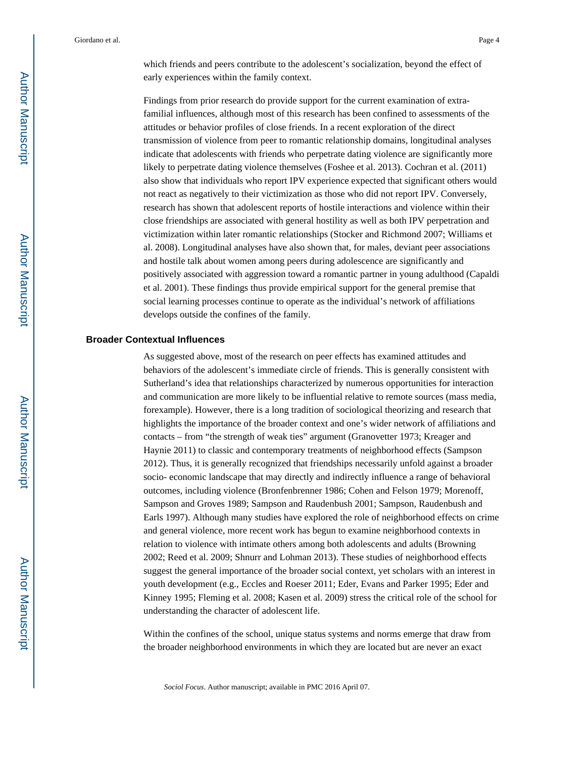which friends and peers contribute to the adolescent's socialization, beyond the effect of early experiences within the family context.

Findings from prior research do provide support for the current examination of extrafamilial influences, although most of this research has been confined to assessments of the attitudes or behavior profiles of close friends. In a recent exploration of the direct transmission of violence from peer to romantic relationship domains, longitudinal analyses indicate that adolescents with friends who perpetrate dating violence are significantly more likely to perpetrate dating violence themselves (Foshee et al. 2013). Cochran et al. (2011) also show that individuals who report IPV experience expected that significant others would not react as negatively to their victimization as those who did not report IPV. Conversely, research has shown that adolescent reports of hostile interactions and violence within their close friendships are associated with general hostility as well as both IPV perpetration and victimization within later romantic relationships (Stocker and Richmond 2007; Williams et al. 2008). Longitudinal analyses have also shown that, for males, deviant peer associations and hostile talk about women among peers during adolescence are significantly and positively associated with aggression toward a romantic partner in young adulthood (Capaldi et al. 2001). These findings thus provide empirical support for the general premise that social learning processes continue to operate as the individual's network of affiliations develops outside the confines of the family.

#### **Broader Contextual Influences**

As suggested above, most of the research on peer effects has examined attitudes and behaviors of the adolescent's immediate circle of friends. This is generally consistent with Sutherland's idea that relationships characterized by numerous opportunities for interaction and communication are more likely to be influential relative to remote sources (mass media, forexample). However, there is a long tradition of sociological theorizing and research that highlights the importance of the broader context and one's wider network of affiliations and contacts – from "the strength of weak ties" argument (Granovetter 1973; Kreager and Haynie 2011) to classic and contemporary treatments of neighborhood effects (Sampson 2012). Thus, it is generally recognized that friendships necessarily unfold against a broader socio- economic landscape that may directly and indirectly influence a range of behavioral outcomes, including violence (Bronfenbrenner 1986; Cohen and Felson 1979; Morenoff, Sampson and Groves 1989; Sampson and Raudenbush 2001; Sampson, Raudenbush and Earls 1997). Although many studies have explored the role of neighborhood effects on crime and general violence, more recent work has begun to examine neighborhood contexts in relation to violence with intimate others among both adolescents and adults (Browning 2002; Reed et al. 2009; Shnurr and Lohman 2013). These studies of neighborhood effects suggest the general importance of the broader social context, yet scholars with an interest in youth development (e.g., Eccles and Roeser 2011; Eder, Evans and Parker 1995; Eder and Kinney 1995; Fleming et al. 2008; Kasen et al. 2009) stress the critical role of the school for understanding the character of adolescent life.

Within the confines of the school, unique status systems and norms emerge that draw from the broader neighborhood environments in which they are located but are never an exact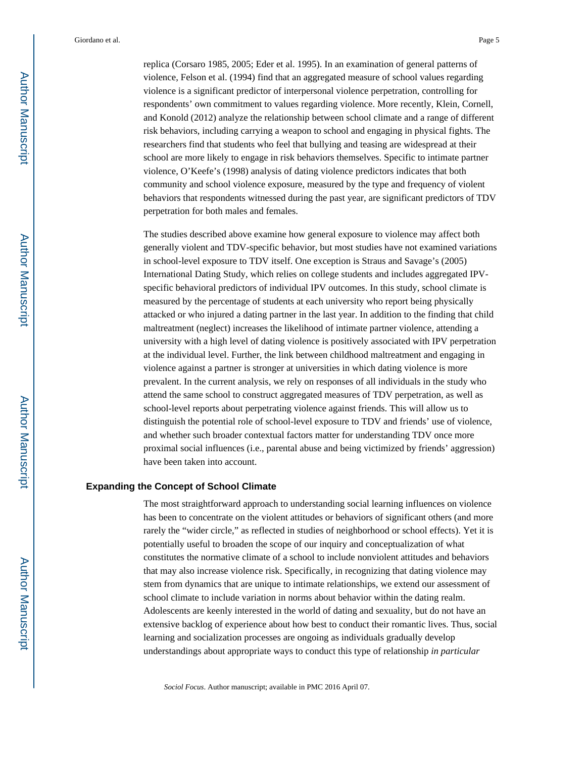replica (Corsaro 1985, 2005; Eder et al. 1995). In an examination of general patterns of violence, Felson et al. (1994) find that an aggregated measure of school values regarding violence is a significant predictor of interpersonal violence perpetration, controlling for respondents' own commitment to values regarding violence. More recently, Klein, Cornell, and Konold (2012) analyze the relationship between school climate and a range of different risk behaviors, including carrying a weapon to school and engaging in physical fights. The researchers find that students who feel that bullying and teasing are widespread at their school are more likely to engage in risk behaviors themselves. Specific to intimate partner violence, O'Keefe's (1998) analysis of dating violence predictors indicates that both community and school violence exposure, measured by the type and frequency of violent behaviors that respondents witnessed during the past year, are significant predictors of TDV perpetration for both males and females.

The studies described above examine how general exposure to violence may affect both generally violent and TDV-specific behavior, but most studies have not examined variations in school-level exposure to TDV itself. One exception is Straus and Savage's (2005) International Dating Study, which relies on college students and includes aggregated IPVspecific behavioral predictors of individual IPV outcomes. In this study, school climate is measured by the percentage of students at each university who report being physically attacked or who injured a dating partner in the last year. In addition to the finding that child maltreatment (neglect) increases the likelihood of intimate partner violence, attending a university with a high level of dating violence is positively associated with IPV perpetration at the individual level. Further, the link between childhood maltreatment and engaging in violence against a partner is stronger at universities in which dating violence is more prevalent. In the current analysis, we rely on responses of all individuals in the study who attend the same school to construct aggregated measures of TDV perpetration, as well as school-level reports about perpetrating violence against friends. This will allow us to distinguish the potential role of school-level exposure to TDV and friends' use of violence, and whether such broader contextual factors matter for understanding TDV once more proximal social influences (i.e., parental abuse and being victimized by friends' aggression) have been taken into account.

#### **Expanding the Concept of School Climate**

The most straightforward approach to understanding social learning influences on violence has been to concentrate on the violent attitudes or behaviors of significant others (and more rarely the "wider circle," as reflected in studies of neighborhood or school effects). Yet it is potentially useful to broaden the scope of our inquiry and conceptualization of what constitutes the normative climate of a school to include nonviolent attitudes and behaviors that may also increase violence risk. Specifically, in recognizing that dating violence may stem from dynamics that are unique to intimate relationships, we extend our assessment of school climate to include variation in norms about behavior within the dating realm. Adolescents are keenly interested in the world of dating and sexuality, but do not have an extensive backlog of experience about how best to conduct their romantic lives. Thus, social learning and socialization processes are ongoing as individuals gradually develop understandings about appropriate ways to conduct this type of relationship *in particular*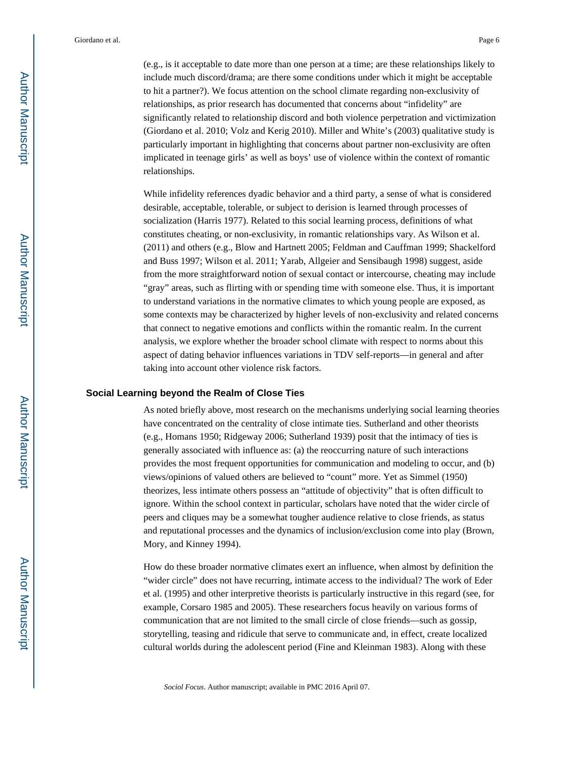(e.g., is it acceptable to date more than one person at a time; are these relationships likely to include much discord/drama; are there some conditions under which it might be acceptable to hit a partner?). We focus attention on the school climate regarding non-exclusivity of relationships, as prior research has documented that concerns about "infidelity" are significantly related to relationship discord and both violence perpetration and victimization (Giordano et al. 2010; Volz and Kerig 2010). Miller and White's (2003) qualitative study is particularly important in highlighting that concerns about partner non-exclusivity are often implicated in teenage girls' as well as boys' use of violence within the context of romantic relationships.

While infidelity references dyadic behavior and a third party, a sense of what is considered desirable, acceptable, tolerable, or subject to derision is learned through processes of socialization (Harris 1977). Related to this social learning process, definitions of what constitutes cheating, or non-exclusivity, in romantic relationships vary. As Wilson et al. (2011) and others (e.g., Blow and Hartnett 2005; Feldman and Cauffman 1999; Shackelford and Buss 1997; Wilson et al. 2011; Yarab, Allgeier and Sensibaugh 1998) suggest, aside from the more straightforward notion of sexual contact or intercourse, cheating may include "gray" areas, such as flirting with or spending time with someone else. Thus, it is important to understand variations in the normative climates to which young people are exposed, as some contexts may be characterized by higher levels of non-exclusivity and related concerns that connect to negative emotions and conflicts within the romantic realm. In the current analysis, we explore whether the broader school climate with respect to norms about this aspect of dating behavior influences variations in TDV self-reports—in general and after taking into account other violence risk factors.

#### **Social Learning beyond the Realm of Close Ties**

As noted briefly above, most research on the mechanisms underlying social learning theories have concentrated on the centrality of close intimate ties. Sutherland and other theorists (e.g., Homans 1950; Ridgeway 2006; Sutherland 1939) posit that the intimacy of ties is generally associated with influence as: (a) the reoccurring nature of such interactions provides the most frequent opportunities for communication and modeling to occur, and (b) views/opinions of valued others are believed to "count" more. Yet as Simmel (1950) theorizes, less intimate others possess an "attitude of objectivity" that is often difficult to ignore. Within the school context in particular, scholars have noted that the wider circle of peers and cliques may be a somewhat tougher audience relative to close friends, as status and reputational processes and the dynamics of inclusion/exclusion come into play (Brown, Mory, and Kinney 1994).

How do these broader normative climates exert an influence, when almost by definition the "wider circle" does not have recurring, intimate access to the individual? The work of Eder et al. (1995) and other interpretive theorists is particularly instructive in this regard (see, for example, Corsaro 1985 and 2005). These researchers focus heavily on various forms of communication that are not limited to the small circle of close friends—such as gossip, storytelling, teasing and ridicule that serve to communicate and, in effect, create localized cultural worlds during the adolescent period (Fine and Kleinman 1983). Along with these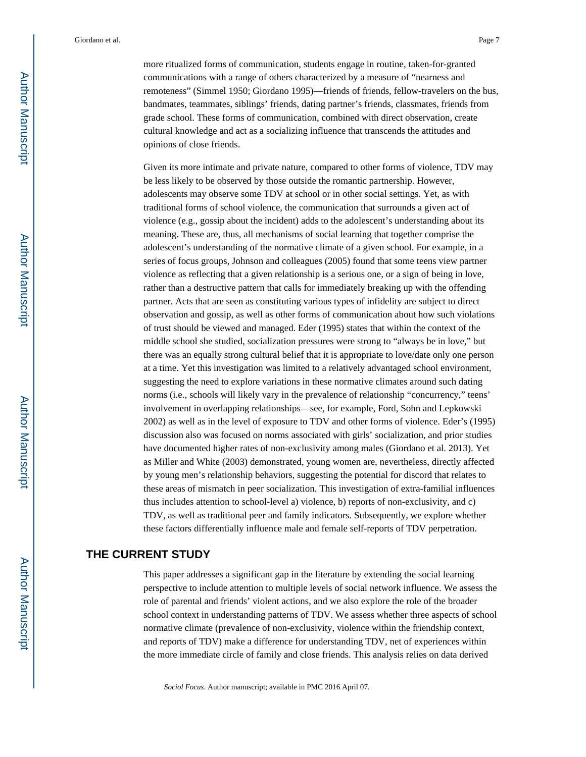more ritualized forms of communication, students engage in routine, taken-for-granted communications with a range of others characterized by a measure of "nearness and remoteness" (Simmel 1950; Giordano 1995)—friends of friends, fellow-travelers on the bus, bandmates, teammates, siblings' friends, dating partner's friends, classmates, friends from grade school. These forms of communication, combined with direct observation, create cultural knowledge and act as a socializing influence that transcends the attitudes and opinions of close friends.

Given its more intimate and private nature, compared to other forms of violence, TDV may be less likely to be observed by those outside the romantic partnership. However, adolescents may observe some TDV at school or in other social settings. Yet, as with traditional forms of school violence, the communication that surrounds a given act of violence (e.g., gossip about the incident) adds to the adolescent's understanding about its meaning. These are, thus, all mechanisms of social learning that together comprise the adolescent's understanding of the normative climate of a given school. For example, in a series of focus groups, Johnson and colleagues (2005) found that some teens view partner violence as reflecting that a given relationship is a serious one, or a sign of being in love, rather than a destructive pattern that calls for immediately breaking up with the offending partner. Acts that are seen as constituting various types of infidelity are subject to direct observation and gossip, as well as other forms of communication about how such violations of trust should be viewed and managed. Eder (1995) states that within the context of the middle school she studied, socialization pressures were strong to "always be in love," but there was an equally strong cultural belief that it is appropriate to love/date only one person at a time. Yet this investigation was limited to a relatively advantaged school environment, suggesting the need to explore variations in these normative climates around such dating norms (i.e., schools will likely vary in the prevalence of relationship "concurrency," teens' involvement in overlapping relationships—see, for example, Ford, Sohn and Lepkowski 2002) as well as in the level of exposure to TDV and other forms of violence. Eder's (1995) discussion also was focused on norms associated with girls' socialization, and prior studies have documented higher rates of non-exclusivity among males (Giordano et al. 2013). Yet as Miller and White (2003) demonstrated, young women are, nevertheless, directly affected by young men's relationship behaviors, suggesting the potential for discord that relates to these areas of mismatch in peer socialization. This investigation of extra-familial influences thus includes attention to school-level a) violence, b) reports of non-exclusivity, and c) TDV, as well as traditional peer and family indicators. Subsequently, we explore whether these factors differentially influence male and female self-reports of TDV perpetration.

## **THE CURRENT STUDY**

This paper addresses a significant gap in the literature by extending the social learning perspective to include attention to multiple levels of social network influence. We assess the role of parental and friends' violent actions, and we also explore the role of the broader school context in understanding patterns of TDV. We assess whether three aspects of school normative climate (prevalence of non-exclusivity, violence within the friendship context, and reports of TDV) make a difference for understanding TDV, net of experiences within the more immediate circle of family and close friends. This analysis relies on data derived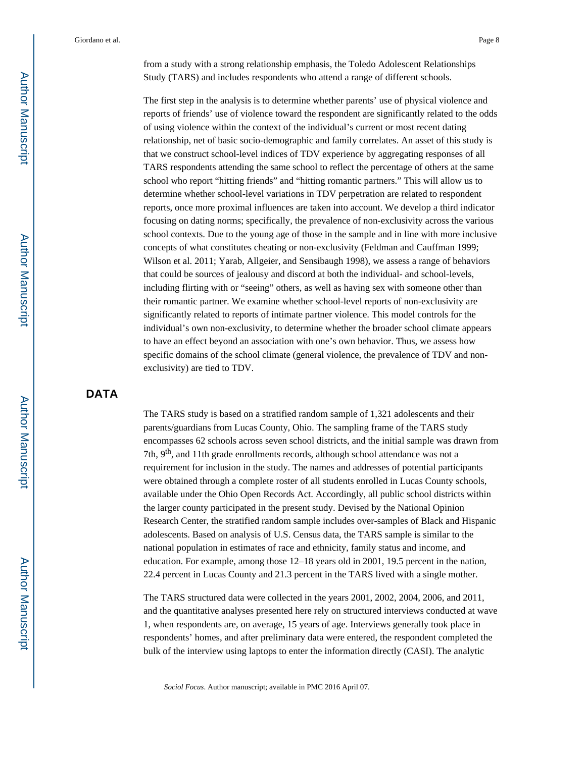from a study with a strong relationship emphasis, the Toledo Adolescent Relationships Study (TARS) and includes respondents who attend a range of different schools.

The first step in the analysis is to determine whether parents' use of physical violence and reports of friends' use of violence toward the respondent are significantly related to the odds of using violence within the context of the individual's current or most recent dating relationship, net of basic socio-demographic and family correlates. An asset of this study is that we construct school-level indices of TDV experience by aggregating responses of all TARS respondents attending the same school to reflect the percentage of others at the same school who report "hitting friends" and "hitting romantic partners." This will allow us to determine whether school-level variations in TDV perpetration are related to respondent reports, once more proximal influences are taken into account. We develop a third indicator focusing on dating norms; specifically, the prevalence of non-exclusivity across the various school contexts. Due to the young age of those in the sample and in line with more inclusive concepts of what constitutes cheating or non-exclusivity (Feldman and Cauffman 1999; Wilson et al. 2011; Yarab, Allgeier, and Sensibaugh 1998), we assess a range of behaviors that could be sources of jealousy and discord at both the individual- and school-levels, including flirting with or "seeing" others, as well as having sex with someone other than their romantic partner. We examine whether school-level reports of non-exclusivity are significantly related to reports of intimate partner violence. This model controls for the individual's own non-exclusivity, to determine whether the broader school climate appears to have an effect beyond an association with one's own behavior. Thus, we assess how specific domains of the school climate (general violence, the prevalence of TDV and nonexclusivity) are tied to TDV.

# **DATA**

The TARS study is based on a stratified random sample of 1,321 adolescents and their parents/guardians from Lucas County, Ohio. The sampling frame of the TARS study encompasses 62 schools across seven school districts, and the initial sample was drawn from 7th, 9th, and 11th grade enrollments records, although school attendance was not a requirement for inclusion in the study. The names and addresses of potential participants were obtained through a complete roster of all students enrolled in Lucas County schools, available under the Ohio Open Records Act. Accordingly, all public school districts within the larger county participated in the present study. Devised by the National Opinion Research Center, the stratified random sample includes over-samples of Black and Hispanic adolescents. Based on analysis of U.S. Census data, the TARS sample is similar to the national population in estimates of race and ethnicity, family status and income, and education. For example, among those 12–18 years old in 2001, 19.5 percent in the nation, 22.4 percent in Lucas County and 21.3 percent in the TARS lived with a single mother.

The TARS structured data were collected in the years 2001, 2002, 2004, 2006, and 2011, and the quantitative analyses presented here rely on structured interviews conducted at wave 1, when respondents are, on average, 15 years of age. Interviews generally took place in respondents' homes, and after preliminary data were entered, the respondent completed the bulk of the interview using laptops to enter the information directly (CASI). The analytic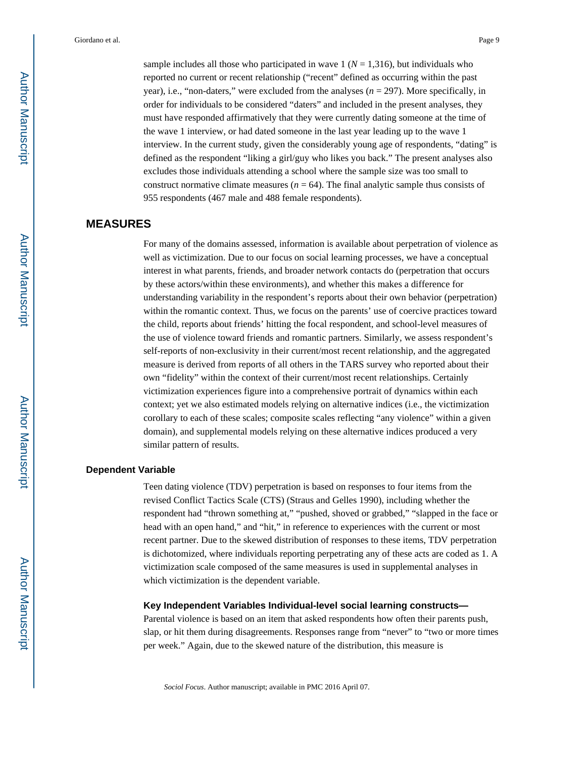sample includes all those who participated in wave  $1 (N = 1,316)$ , but individuals who reported no current or recent relationship ("recent" defined as occurring within the past year), i.e., "non-daters," were excluded from the analyses  $(n = 297)$ . More specifically, in order for individuals to be considered "daters" and included in the present analyses, they must have responded affirmatively that they were currently dating someone at the time of the wave 1 interview, or had dated someone in the last year leading up to the wave 1 interview. In the current study, given the considerably young age of respondents, "dating" is defined as the respondent "liking a girl/guy who likes you back." The present analyses also excludes those individuals attending a school where the sample size was too small to construct normative climate measures  $(n = 64)$ . The final analytic sample thus consists of 955 respondents (467 male and 488 female respondents).

## **MEASURES**

For many of the domains assessed, information is available about perpetration of violence as well as victimization. Due to our focus on social learning processes, we have a conceptual interest in what parents, friends, and broader network contacts do (perpetration that occurs by these actors/within these environments), and whether this makes a difference for understanding variability in the respondent's reports about their own behavior (perpetration) within the romantic context. Thus, we focus on the parents' use of coercive practices toward the child, reports about friends' hitting the focal respondent, and school-level measures of the use of violence toward friends and romantic partners. Similarly, we assess respondent's self-reports of non-exclusivity in their current/most recent relationship, and the aggregated measure is derived from reports of all others in the TARS survey who reported about their own "fidelity" within the context of their current/most recent relationships. Certainly victimization experiences figure into a comprehensive portrait of dynamics within each context; yet we also estimated models relying on alternative indices (i.e., the victimization corollary to each of these scales; composite scales reflecting "any violence" within a given domain), and supplemental models relying on these alternative indices produced a very similar pattern of results.

#### **Dependent Variable**

Teen dating violence (TDV) perpetration is based on responses to four items from the revised Conflict Tactics Scale (CTS) (Straus and Gelles 1990), including whether the respondent had "thrown something at," "pushed, shoved or grabbed," "slapped in the face or head with an open hand," and "hit," in reference to experiences with the current or most recent partner. Due to the skewed distribution of responses to these items, TDV perpetration is dichotomized, where individuals reporting perpetrating any of these acts are coded as 1. A victimization scale composed of the same measures is used in supplemental analyses in which victimization is the dependent variable.

#### **Key Independent Variables Individual-level social learning constructs—**

Parental violence is based on an item that asked respondents how often their parents push, slap, or hit them during disagreements. Responses range from "never" to "two or more times per week." Again, due to the skewed nature of the distribution, this measure is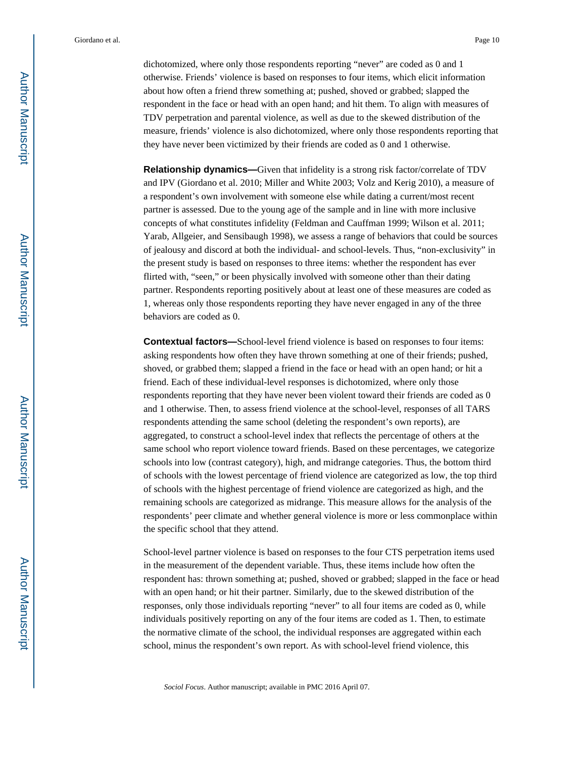dichotomized, where only those respondents reporting "never" are coded as 0 and 1 otherwise. Friends' violence is based on responses to four items, which elicit information about how often a friend threw something at; pushed, shoved or grabbed; slapped the respondent in the face or head with an open hand; and hit them. To align with measures of TDV perpetration and parental violence, as well as due to the skewed distribution of the measure, friends' violence is also dichotomized, where only those respondents reporting that they have never been victimized by their friends are coded as 0 and 1 otherwise.

**Relationship dynamics—**Given that infidelity is a strong risk factor/correlate of TDV and IPV (Giordano et al. 2010; Miller and White 2003; Volz and Kerig 2010), a measure of a respondent's own involvement with someone else while dating a current/most recent partner is assessed. Due to the young age of the sample and in line with more inclusive concepts of what constitutes infidelity (Feldman and Cauffman 1999; Wilson et al. 2011; Yarab, Allgeier, and Sensibaugh 1998), we assess a range of behaviors that could be sources of jealousy and discord at both the individual- and school-levels. Thus, "non-exclusivity" in the present study is based on responses to three items: whether the respondent has ever flirted with, "seen," or been physically involved with someone other than their dating partner. Respondents reporting positively about at least one of these measures are coded as 1, whereas only those respondents reporting they have never engaged in any of the three behaviors are coded as 0.

**Contextual factors—**School-level friend violence is based on responses to four items: asking respondents how often they have thrown something at one of their friends; pushed, shoved, or grabbed them; slapped a friend in the face or head with an open hand; or hit a friend. Each of these individual-level responses is dichotomized, where only those respondents reporting that they have never been violent toward their friends are coded as 0 and 1 otherwise. Then, to assess friend violence at the school-level, responses of all TARS respondents attending the same school (deleting the respondent's own reports), are aggregated, to construct a school-level index that reflects the percentage of others at the same school who report violence toward friends. Based on these percentages, we categorize schools into low (contrast category), high, and midrange categories. Thus, the bottom third of schools with the lowest percentage of friend violence are categorized as low, the top third of schools with the highest percentage of friend violence are categorized as high, and the remaining schools are categorized as midrange. This measure allows for the analysis of the respondents' peer climate and whether general violence is more or less commonplace within the specific school that they attend.

School-level partner violence is based on responses to the four CTS perpetration items used in the measurement of the dependent variable. Thus, these items include how often the respondent has: thrown something at; pushed, shoved or grabbed; slapped in the face or head with an open hand; or hit their partner. Similarly, due to the skewed distribution of the responses, only those individuals reporting "never" to all four items are coded as 0, while individuals positively reporting on any of the four items are coded as 1. Then, to estimate the normative climate of the school, the individual responses are aggregated within each school, minus the respondent's own report. As with school-level friend violence, this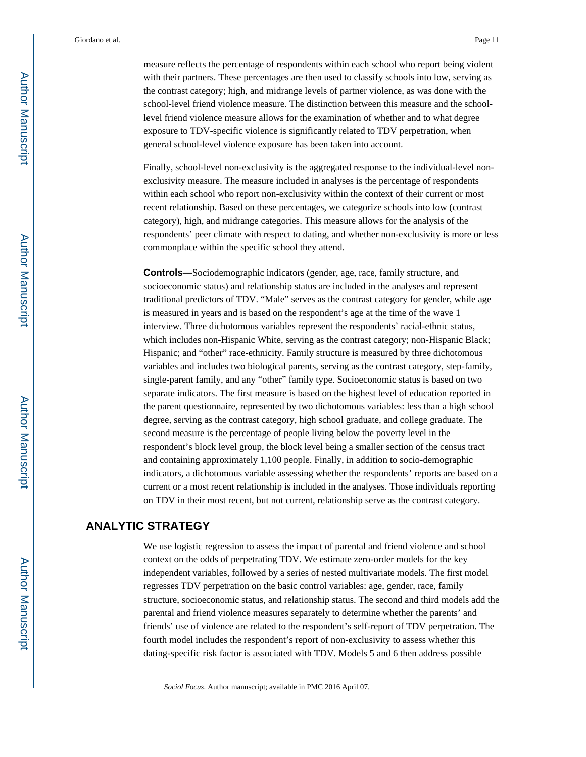measure reflects the percentage of respondents within each school who report being violent with their partners. These percentages are then used to classify schools into low, serving as the contrast category; high, and midrange levels of partner violence, as was done with the school-level friend violence measure. The distinction between this measure and the schoollevel friend violence measure allows for the examination of whether and to what degree exposure to TDV-specific violence is significantly related to TDV perpetration, when general school-level violence exposure has been taken into account.

Finally, school-level non-exclusivity is the aggregated response to the individual-level nonexclusivity measure. The measure included in analyses is the percentage of respondents within each school who report non-exclusivity within the context of their current or most recent relationship. Based on these percentages, we categorize schools into low (contrast category), high, and midrange categories. This measure allows for the analysis of the respondents' peer climate with respect to dating, and whether non-exclusivity is more or less commonplace within the specific school they attend.

**Controls—**Sociodemographic indicators (gender, age, race, family structure, and socioeconomic status) and relationship status are included in the analyses and represent traditional predictors of TDV. "Male" serves as the contrast category for gender, while age is measured in years and is based on the respondent's age at the time of the wave 1 interview. Three dichotomous variables represent the respondents' racial-ethnic status, which includes non-Hispanic White, serving as the contrast category; non-Hispanic Black; Hispanic; and "other" race-ethnicity. Family structure is measured by three dichotomous variables and includes two biological parents, serving as the contrast category, step-family, single-parent family, and any "other" family type. Socioeconomic status is based on two separate indicators. The first measure is based on the highest level of education reported in the parent questionnaire, represented by two dichotomous variables: less than a high school degree, serving as the contrast category, high school graduate, and college graduate. The second measure is the percentage of people living below the poverty level in the respondent's block level group, the block level being a smaller section of the census tract and containing approximately 1,100 people. Finally, in addition to socio-demographic indicators, a dichotomous variable assessing whether the respondents' reports are based on a current or a most recent relationship is included in the analyses. Those individuals reporting on TDV in their most recent, but not current, relationship serve as the contrast category.

#### **ANALYTIC STRATEGY**

We use logistic regression to assess the impact of parental and friend violence and school context on the odds of perpetrating TDV. We estimate zero-order models for the key independent variables, followed by a series of nested multivariate models. The first model regresses TDV perpetration on the basic control variables: age, gender, race, family structure, socioeconomic status, and relationship status. The second and third models add the parental and friend violence measures separately to determine whether the parents' and friends' use of violence are related to the respondent's self-report of TDV perpetration. The fourth model includes the respondent's report of non-exclusivity to assess whether this dating-specific risk factor is associated with TDV. Models 5 and 6 then address possible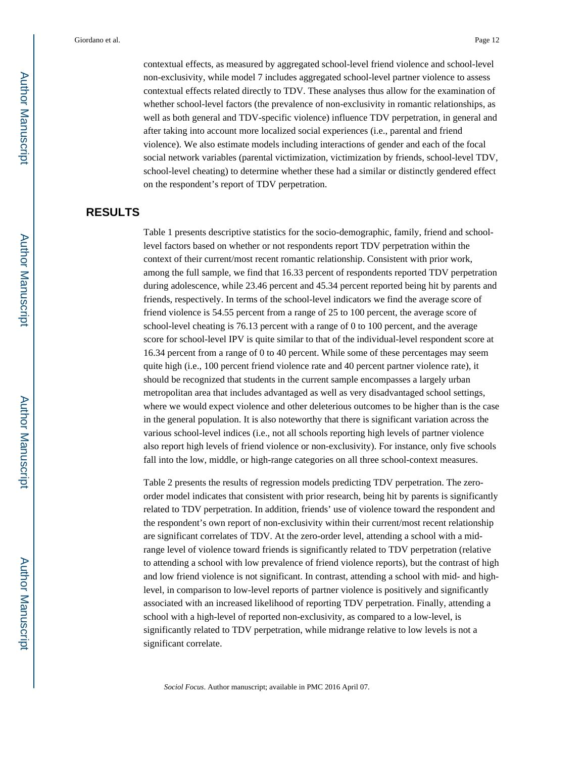contextual effects, as measured by aggregated school-level friend violence and school-level non-exclusivity, while model 7 includes aggregated school-level partner violence to assess contextual effects related directly to TDV. These analyses thus allow for the examination of whether school-level factors (the prevalence of non-exclusivity in romantic relationships, as well as both general and TDV-specific violence) influence TDV perpetration, in general and after taking into account more localized social experiences (i.e., parental and friend violence). We also estimate models including interactions of gender and each of the focal social network variables (parental victimization, victimization by friends, school-level TDV, school-level cheating) to determine whether these had a similar or distinctly gendered effect on the respondent's report of TDV perpetration.

#### **RESULTS**

Table 1 presents descriptive statistics for the socio-demographic, family, friend and schoollevel factors based on whether or not respondents report TDV perpetration within the context of their current/most recent romantic relationship. Consistent with prior work, among the full sample, we find that 16.33 percent of respondents reported TDV perpetration during adolescence, while 23.46 percent and 45.34 percent reported being hit by parents and friends, respectively. In terms of the school-level indicators we find the average score of friend violence is 54.55 percent from a range of 25 to 100 percent, the average score of school-level cheating is 76.13 percent with a range of 0 to 100 percent, and the average score for school-level IPV is quite similar to that of the individual-level respondent score at 16.34 percent from a range of 0 to 40 percent. While some of these percentages may seem quite high (i.e., 100 percent friend violence rate and 40 percent partner violence rate), it should be recognized that students in the current sample encompasses a largely urban metropolitan area that includes advantaged as well as very disadvantaged school settings, where we would expect violence and other deleterious outcomes to be higher than is the case in the general population. It is also noteworthy that there is significant variation across the various school-level indices (i.e., not all schools reporting high levels of partner violence also report high levels of friend violence or non-exclusivity). For instance, only five schools fall into the low, middle, or high-range categories on all three school-context measures.

Table 2 presents the results of regression models predicting TDV perpetration. The zeroorder model indicates that consistent with prior research, being hit by parents is significantly related to TDV perpetration. In addition, friends' use of violence toward the respondent and the respondent's own report of non-exclusivity within their current/most recent relationship are significant correlates of TDV. At the zero-order level, attending a school with a midrange level of violence toward friends is significantly related to TDV perpetration (relative to attending a school with low prevalence of friend violence reports), but the contrast of high and low friend violence is not significant. In contrast, attending a school with mid- and highlevel, in comparison to low-level reports of partner violence is positively and significantly associated with an increased likelihood of reporting TDV perpetration. Finally, attending a school with a high-level of reported non-exclusivity, as compared to a low-level, is significantly related to TDV perpetration, while midrange relative to low levels is not a significant correlate.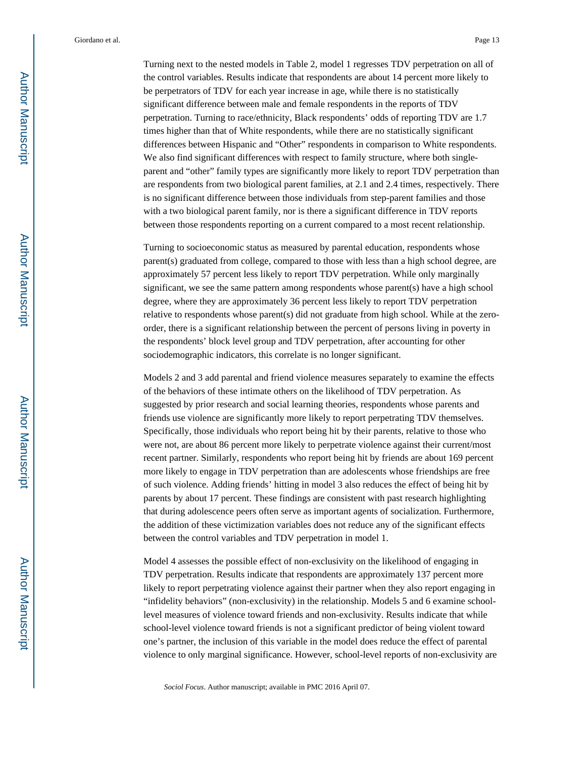Turning next to the nested models in Table 2, model 1 regresses TDV perpetration on all of the control variables. Results indicate that respondents are about 14 percent more likely to be perpetrators of TDV for each year increase in age, while there is no statistically significant difference between male and female respondents in the reports of TDV perpetration. Turning to race/ethnicity, Black respondents' odds of reporting TDV are 1.7 times higher than that of White respondents, while there are no statistically significant differences between Hispanic and "Other" respondents in comparison to White respondents. We also find significant differences with respect to family structure, where both singleparent and "other" family types are significantly more likely to report TDV perpetration than are respondents from two biological parent families, at 2.1 and 2.4 times, respectively. There is no significant difference between those individuals from step-parent families and those with a two biological parent family, nor is there a significant difference in TDV reports between those respondents reporting on a current compared to a most recent relationship.

Turning to socioeconomic status as measured by parental education, respondents whose parent(s) graduated from college, compared to those with less than a high school degree, are approximately 57 percent less likely to report TDV perpetration. While only marginally significant, we see the same pattern among respondents whose parent(s) have a high school degree, where they are approximately 36 percent less likely to report TDV perpetration relative to respondents whose parent(s) did not graduate from high school. While at the zeroorder, there is a significant relationship between the percent of persons living in poverty in the respondents' block level group and TDV perpetration, after accounting for other sociodemographic indicators, this correlate is no longer significant.

Models 2 and 3 add parental and friend violence measures separately to examine the effects of the behaviors of these intimate others on the likelihood of TDV perpetration. As suggested by prior research and social learning theories, respondents whose parents and friends use violence are significantly more likely to report perpetrating TDV themselves. Specifically, those individuals who report being hit by their parents, relative to those who were not, are about 86 percent more likely to perpetrate violence against their current/most recent partner. Similarly, respondents who report being hit by friends are about 169 percent more likely to engage in TDV perpetration than are adolescents whose friendships are free of such violence. Adding friends' hitting in model 3 also reduces the effect of being hit by parents by about 17 percent. These findings are consistent with past research highlighting that during adolescence peers often serve as important agents of socialization. Furthermore, the addition of these victimization variables does not reduce any of the significant effects between the control variables and TDV perpetration in model 1.

Model 4 assesses the possible effect of non-exclusivity on the likelihood of engaging in TDV perpetration. Results indicate that respondents are approximately 137 percent more likely to report perpetrating violence against their partner when they also report engaging in "infidelity behaviors" (non-exclusivity) in the relationship. Models 5 and 6 examine schoollevel measures of violence toward friends and non-exclusivity. Results indicate that while school-level violence toward friends is not a significant predictor of being violent toward one's partner, the inclusion of this variable in the model does reduce the effect of parental violence to only marginal significance. However, school-level reports of non-exclusivity are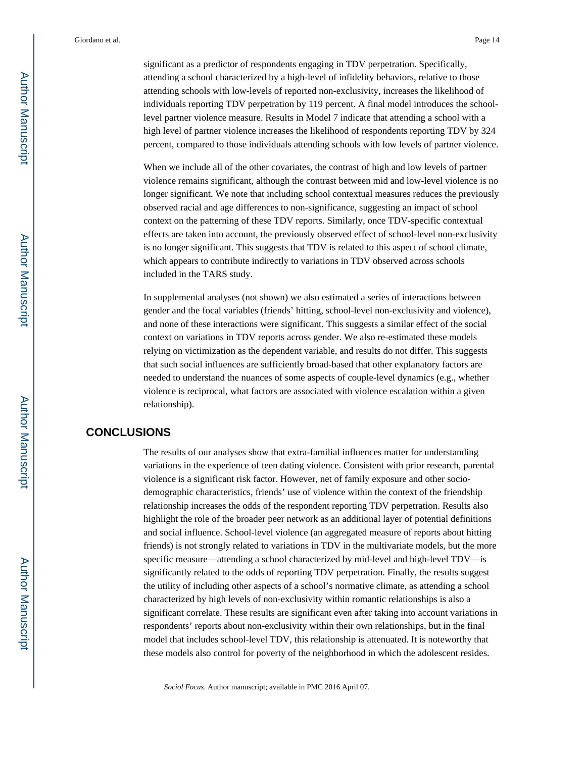significant as a predictor of respondents engaging in TDV perpetration. Specifically, attending a school characterized by a high-level of infidelity behaviors, relative to those attending schools with low-levels of reported non-exclusivity, increases the likelihood of individuals reporting TDV perpetration by 119 percent. A final model introduces the schoollevel partner violence measure. Results in Model 7 indicate that attending a school with a high level of partner violence increases the likelihood of respondents reporting TDV by 324 percent, compared to those individuals attending schools with low levels of partner violence.

When we include all of the other covariates, the contrast of high and low levels of partner violence remains significant, although the contrast between mid and low-level violence is no longer significant. We note that including school contextual measures reduces the previously observed racial and age differences to non-significance, suggesting an impact of school context on the patterning of these TDV reports. Similarly, once TDV-specific contextual effects are taken into account, the previously observed effect of school-level non-exclusivity is no longer significant. This suggests that TDV is related to this aspect of school climate, which appears to contribute indirectly to variations in TDV observed across schools included in the TARS study.

In supplemental analyses (not shown) we also estimated a series of interactions between gender and the focal variables (friends' hitting, school-level non-exclusivity and violence), and none of these interactions were significant. This suggests a similar effect of the social context on variations in TDV reports across gender. We also re-estimated these models relying on victimization as the dependent variable, and results do not differ. This suggests that such social influences are sufficiently broad-based that other explanatory factors are needed to understand the nuances of some aspects of couple-level dynamics (e.g., whether violence is reciprocal, what factors are associated with violence escalation within a given relationship).

# **CONCLUSIONS**

The results of our analyses show that extra-familial influences matter for understanding variations in the experience of teen dating violence. Consistent with prior research, parental violence is a significant risk factor. However, net of family exposure and other sociodemographic characteristics, friends' use of violence within the context of the friendship relationship increases the odds of the respondent reporting TDV perpetration. Results also highlight the role of the broader peer network as an additional layer of potential definitions and social influence. School-level violence (an aggregated measure of reports about hitting friends) is not strongly related to variations in TDV in the multivariate models, but the more specific measure—attending a school characterized by mid-level and high-level TDV—is significantly related to the odds of reporting TDV perpetration. Finally, the results suggest the utility of including other aspects of a school's normative climate, as attending a school characterized by high levels of non-exclusivity within romantic relationships is also a significant correlate. These results are significant even after taking into account variations in respondents' reports about non-exclusivity within their own relationships, but in the final model that includes school-level TDV, this relationship is attenuated. It is noteworthy that these models also control for poverty of the neighborhood in which the adolescent resides.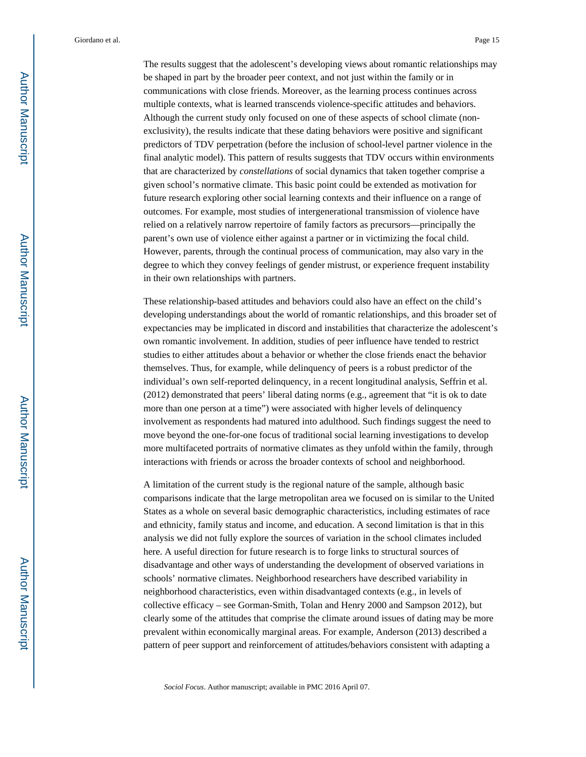The results suggest that the adolescent's developing views about romantic relationships may be shaped in part by the broader peer context, and not just within the family or in communications with close friends. Moreover, as the learning process continues across multiple contexts, what is learned transcends violence-specific attitudes and behaviors. Although the current study only focused on one of these aspects of school climate (nonexclusivity), the results indicate that these dating behaviors were positive and significant predictors of TDV perpetration (before the inclusion of school-level partner violence in the final analytic model). This pattern of results suggests that TDV occurs within environments that are characterized by *constellations* of social dynamics that taken together comprise a given school's normative climate. This basic point could be extended as motivation for future research exploring other social learning contexts and their influence on a range of outcomes. For example, most studies of intergenerational transmission of violence have relied on a relatively narrow repertoire of family factors as precursors—principally the parent's own use of violence either against a partner or in victimizing the focal child. However, parents, through the continual process of communication, may also vary in the degree to which they convey feelings of gender mistrust, or experience frequent instability in their own relationships with partners.

These relationship-based attitudes and behaviors could also have an effect on the child's developing understandings about the world of romantic relationships, and this broader set of expectancies may be implicated in discord and instabilities that characterize the adolescent's own romantic involvement. In addition, studies of peer influence have tended to restrict studies to either attitudes about a behavior or whether the close friends enact the behavior themselves. Thus, for example, while delinquency of peers is a robust predictor of the individual's own self-reported delinquency, in a recent longitudinal analysis, Seffrin et al. (2012) demonstrated that peers' liberal dating norms (e.g., agreement that "it is ok to date more than one person at a time") were associated with higher levels of delinquency involvement as respondents had matured into adulthood. Such findings suggest the need to move beyond the one-for-one focus of traditional social learning investigations to develop more multifaceted portraits of normative climates as they unfold within the family, through interactions with friends or across the broader contexts of school and neighborhood.

A limitation of the current study is the regional nature of the sample, although basic comparisons indicate that the large metropolitan area we focused on is similar to the United States as a whole on several basic demographic characteristics, including estimates of race and ethnicity, family status and income, and education. A second limitation is that in this analysis we did not fully explore the sources of variation in the school climates included here. A useful direction for future research is to forge links to structural sources of disadvantage and other ways of understanding the development of observed variations in schools' normative climates. Neighborhood researchers have described variability in neighborhood characteristics, even within disadvantaged contexts (e.g., in levels of collective efficacy – see Gorman-Smith, Tolan and Henry 2000 and Sampson 2012), but clearly some of the attitudes that comprise the climate around issues of dating may be more prevalent within economically marginal areas. For example, Anderson (2013) described a pattern of peer support and reinforcement of attitudes/behaviors consistent with adapting a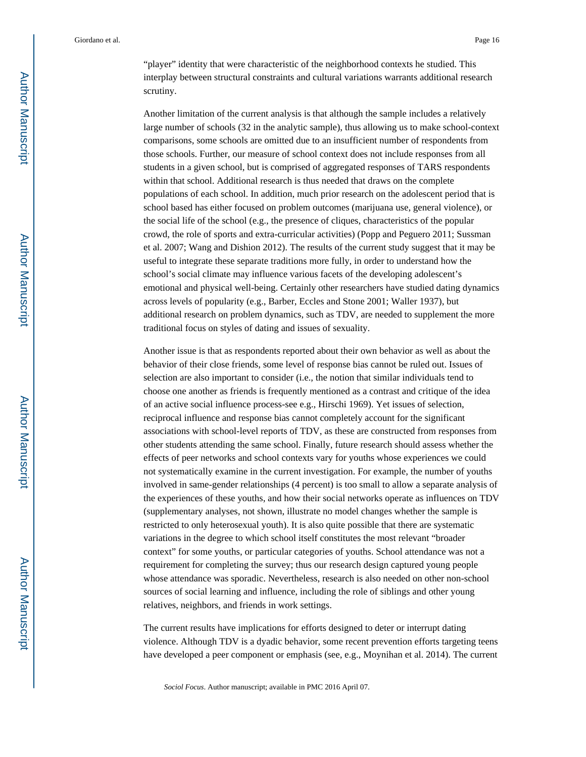"player" identity that were characteristic of the neighborhood contexts he studied. This interplay between structural constraints and cultural variations warrants additional research scrutiny.

Another limitation of the current analysis is that although the sample includes a relatively large number of schools (32 in the analytic sample), thus allowing us to make school-context comparisons, some schools are omitted due to an insufficient number of respondents from those schools. Further, our measure of school context does not include responses from all students in a given school, but is comprised of aggregated responses of TARS respondents within that school. Additional research is thus needed that draws on the complete populations of each school. In addition, much prior research on the adolescent period that is school based has either focused on problem outcomes (marijuana use, general violence), or the social life of the school (e.g., the presence of cliques, characteristics of the popular crowd, the role of sports and extra-curricular activities) (Popp and Peguero 2011; Sussman et al. 2007; Wang and Dishion 2012). The results of the current study suggest that it may be useful to integrate these separate traditions more fully, in order to understand how the school's social climate may influence various facets of the developing adolescent's emotional and physical well-being. Certainly other researchers have studied dating dynamics across levels of popularity (e.g., Barber, Eccles and Stone 2001; Waller 1937), but additional research on problem dynamics, such as TDV, are needed to supplement the more traditional focus on styles of dating and issues of sexuality.

Another issue is that as respondents reported about their own behavior as well as about the behavior of their close friends, some level of response bias cannot be ruled out. Issues of selection are also important to consider (i.e., the notion that similar individuals tend to choose one another as friends is frequently mentioned as a contrast and critique of the idea of an active social influence process-see e.g., Hirschi 1969). Yet issues of selection, reciprocal influence and response bias cannot completely account for the significant associations with school-level reports of TDV, as these are constructed from responses from other students attending the same school. Finally, future research should assess whether the effects of peer networks and school contexts vary for youths whose experiences we could not systematically examine in the current investigation. For example, the number of youths involved in same-gender relationships (4 percent) is too small to allow a separate analysis of the experiences of these youths, and how their social networks operate as influences on TDV (supplementary analyses, not shown, illustrate no model changes whether the sample is restricted to only heterosexual youth). It is also quite possible that there are systematic variations in the degree to which school itself constitutes the most relevant "broader context" for some youths, or particular categories of youths. School attendance was not a requirement for completing the survey; thus our research design captured young people whose attendance was sporadic. Nevertheless, research is also needed on other non-school sources of social learning and influence, including the role of siblings and other young relatives, neighbors, and friends in work settings.

The current results have implications for efforts designed to deter or interrupt dating violence. Although TDV is a dyadic behavior, some recent prevention efforts targeting teens have developed a peer component or emphasis (see, e.g., Moynihan et al. 2014). The current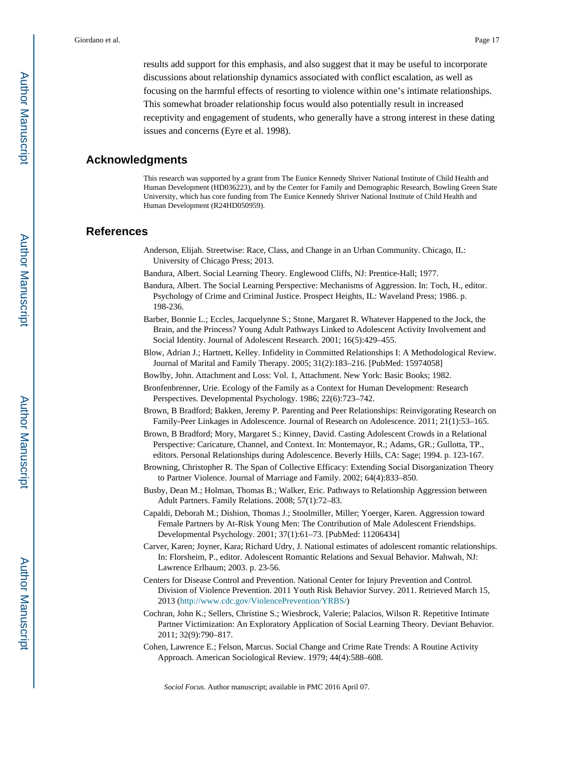results add support for this emphasis, and also suggest that it may be useful to incorporate discussions about relationship dynamics associated with conflict escalation, as well as focusing on the harmful effects of resorting to violence within one's intimate relationships. This somewhat broader relationship focus would also potentially result in increased receptivity and engagement of students, who generally have a strong interest in these dating issues and concerns (Eyre et al. 1998).

### **Acknowledgments**

This research was supported by a grant from The Eunice Kennedy Shriver National Institute of Child Health and Human Development (HD036223), and by the Center for Family and Demographic Research, Bowling Green State University, which has core funding from The Eunice Kennedy Shriver National Institute of Child Health and Human Development (R24HD050959).

#### **References**

- Anderson, Elijah. Streetwise: Race, Class, and Change in an Urban Community. Chicago, IL: University of Chicago Press; 2013.
- Bandura, Albert. Social Learning Theory. Englewood Cliffs, NJ: Prentice-Hall; 1977.
- Bandura, Albert. The Social Learning Perspective: Mechanisms of Aggression. In: Toch, H., editor. Psychology of Crime and Criminal Justice. Prospect Heights, IL: Waveland Press; 1986. p. 198-236.
- Barber, Bonnie L.; Eccles, Jacquelynne S.; Stone, Margaret R. Whatever Happened to the Jock, the Brain, and the Princess? Young Adult Pathways Linked to Adolescent Activity Involvement and Social Identity. Journal of Adolescent Research. 2001; 16(5):429–455.
- Blow, Adrian J.; Hartnett, Kelley. Infidelity in Committed Relationships I: A Methodological Review. Journal of Marital and Family Therapy. 2005; 31(2):183–216. [PubMed: 15974058]
- Bowlby, John. Attachment and Loss: Vol. 1, Attachment. New York: Basic Books; 1982.
- Bronfenbrenner, Urie. Ecology of the Family as a Context for Human Development: Research Perspectives. Developmental Psychology. 1986; 22(6):723–742.
- Brown, B Bradford; Bakken, Jeremy P. Parenting and Peer Relationships: Reinvigorating Research on Family-Peer Linkages in Adolescence. Journal of Research on Adolescence. 2011; 21(1):53–165.
- Brown, B Bradford; Mory, Margaret S.; Kinney, David. Casting Adolescent Crowds in a Relational Perspective: Caricature, Channel, and Context. In: Montemayor, R.; Adams, GR.; Gullotta, TP., editors. Personal Relationships during Adolescence. Beverly Hills, CA: Sage; 1994. p. 123-167.
- Browning, Christopher R. The Span of Collective Efficacy: Extending Social Disorganization Theory to Partner Violence. Journal of Marriage and Family. 2002; 64(4):833–850.
- Busby, Dean M.; Holman, Thomas B.; Walker, Eric. Pathways to Relationship Aggression between Adult Partners. Family Relations. 2008; 57(1):72–83.
- Capaldi, Deborah M.; Dishion, Thomas J.; Stoolmiller, Miller; Yoerger, Karen. Aggression toward Female Partners by At-Risk Young Men: The Contribution of Male Adolescent Friendships. Developmental Psychology. 2001; 37(1):61–73. [PubMed: 11206434]
- Carver, Karen; Joyner, Kara; Richard Udry, J. National estimates of adolescent romantic relationships. In: Florsheim, P., editor. Adolescent Romantic Relations and Sexual Behavior. Mahwah, NJ: Lawrence Erlbaum; 2003. p. 23-56.
- Centers for Disease Control and Prevention. National Center for Injury Prevention and Control. Division of Violence Prevention. 2011 Youth Risk Behavior Survey. 2011. Retrieved March 15, 2013 [\(http://www.cdc.gov/ViolencePrevention/YRBS/](http://www.cdc.gov/ViolencePrevention/YRBS/))
- Cochran, John K.; Sellers, Christine S.; Wiesbrock, Valerie; Palacios, Wilson R. Repetitive Intimate Partner Victimization: An Exploratory Application of Social Learning Theory. Deviant Behavior. 2011; 32(9):790–817.
- Cohen, Lawrence E.; Felson, Marcus. Social Change and Crime Rate Trends: A Routine Activity Approach. American Sociological Review. 1979; 44(4):588–608.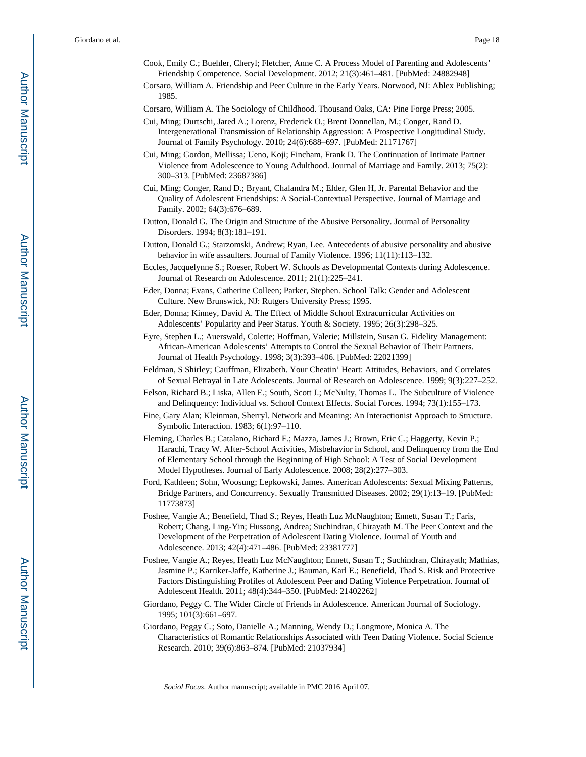- Cook, Emily C.; Buehler, Cheryl; Fletcher, Anne C. A Process Model of Parenting and Adolescents' Friendship Competence. Social Development. 2012; 21(3):461–481. [PubMed: 24882948]
- Corsaro, William A. Friendship and Peer Culture in the Early Years. Norwood, NJ: Ablex Publishing; 1985.
- Corsaro, William A. The Sociology of Childhood. Thousand Oaks, CA: Pine Forge Press; 2005.
- Cui, Ming; Durtschi, Jared A.; Lorenz, Frederick O.; Brent Donnellan, M.; Conger, Rand D. Intergenerational Transmission of Relationship Aggression: A Prospective Longitudinal Study. Journal of Family Psychology. 2010; 24(6):688–697. [PubMed: 21171767]
- Cui, Ming; Gordon, Mellissa; Ueno, Koji; Fincham, Frank D. The Continuation of Intimate Partner Violence from Adolescence to Young Adulthood. Journal of Marriage and Family. 2013; 75(2): 300–313. [PubMed: 23687386]
- Cui, Ming; Conger, Rand D.; Bryant, Chalandra M.; Elder, Glen H, Jr. Parental Behavior and the Quality of Adolescent Friendships: A Social-Contextual Perspective. Journal of Marriage and Family. 2002; 64(3):676–689.
- Dutton, Donald G. The Origin and Structure of the Abusive Personality. Journal of Personality Disorders. 1994; 8(3):181–191.
- Dutton, Donald G.; Starzomski, Andrew; Ryan, Lee. Antecedents of abusive personality and abusive behavior in wife assaulters. Journal of Family Violence. 1996; 11(11):113–132.
- Eccles, Jacquelynne S.; Roeser, Robert W. Schools as Developmental Contexts during Adolescence. Journal of Research on Adolescence. 2011; 21(1):225–241.
- Eder, Donna; Evans, Catherine Colleen; Parker, Stephen. School Talk: Gender and Adolescent Culture. New Brunswick, NJ: Rutgers University Press; 1995.
- Eder, Donna; Kinney, David A. The Effect of Middle School Extracurricular Activities on Adolescents' Popularity and Peer Status. Youth & Society. 1995; 26(3):298–325.
- Eyre, Stephen L.; Auerswald, Colette; Hoffman, Valerie; Millstein, Susan G. Fidelity Management: African-American Adolescents' Attempts to Control the Sexual Behavior of Their Partners. Journal of Health Psychology. 1998; 3(3):393–406. [PubMed: 22021399]
- Feldman, S Shirley; Cauffman, Elizabeth. Your Cheatin' Heart: Attitudes, Behaviors, and Correlates of Sexual Betrayal in Late Adolescents. Journal of Research on Adolescence. 1999; 9(3):227–252.
- Felson, Richard B.; Liska, Allen E.; South, Scott J.; McNulty, Thomas L. The Subculture of Violence and Delinquency: Individual vs. School Context Effects. Social Forces. 1994; 73(1):155–173.
- Fine, Gary Alan; Kleinman, Sherryl. Network and Meaning: An Interactionist Approach to Structure. Symbolic Interaction. 1983; 6(1):97–110.
- Fleming, Charles B.; Catalano, Richard F.; Mazza, James J.; Brown, Eric C.; Haggerty, Kevin P.; Harachi, Tracy W. After-School Activities, Misbehavior in School, and Delinquency from the End of Elementary School through the Beginning of High School: A Test of Social Development Model Hypotheses. Journal of Early Adolescence. 2008; 28(2):277–303.
- Ford, Kathleen; Sohn, Woosung; Lepkowski, James. American Adolescents: Sexual Mixing Patterns, Bridge Partners, and Concurrency. Sexually Transmitted Diseases. 2002; 29(1):13–19. [PubMed: 11773873]
- Foshee, Vangie A.; Benefield, Thad S.; Reyes, Heath Luz McNaughton; Ennett, Susan T.; Faris, Robert; Chang, Ling-Yin; Hussong, Andrea; Suchindran, Chirayath M. The Peer Context and the Development of the Perpetration of Adolescent Dating Violence. Journal of Youth and Adolescence. 2013; 42(4):471–486. [PubMed: 23381777]
- Foshee, Vangie A.; Reyes, Heath Luz McNaughton; Ennett, Susan T.; Suchindran, Chirayath; Mathias, Jasmine P.; Karriker-Jaffe, Katherine J.; Bauman, Karl E.; Benefield, Thad S. Risk and Protective Factors Distinguishing Profiles of Adolescent Peer and Dating Violence Perpetration. Journal of Adolescent Health. 2011; 48(4):344–350. [PubMed: 21402262]
- Giordano, Peggy C. The Wider Circle of Friends in Adolescence. American Journal of Sociology. 1995; 101(3):661–697.
- Giordano, Peggy C.; Soto, Danielle A.; Manning, Wendy D.; Longmore, Monica A. The Characteristics of Romantic Relationships Associated with Teen Dating Violence. Social Science Research. 2010; 39(6):863–874. [PubMed: 21037934]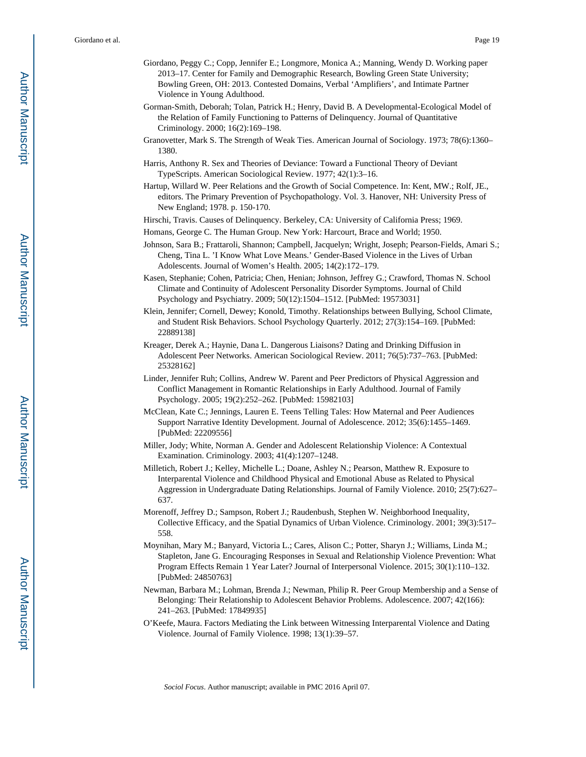- Giordano, Peggy C.; Copp, Jennifer E.; Longmore, Monica A.; Manning, Wendy D. Working paper 2013–17. Center for Family and Demographic Research, Bowling Green State University; Bowling Green, OH: 2013. Contested Domains, Verbal 'Amplifiers', and Intimate Partner Violence in Young Adulthood.
- Gorman-Smith, Deborah; Tolan, Patrick H.; Henry, David B. A Developmental-Ecological Model of the Relation of Family Functioning to Patterns of Delinquency. Journal of Quantitative Criminology. 2000; 16(2):169–198.
- Granovetter, Mark S. The Strength of Weak Ties. American Journal of Sociology. 1973; 78(6):1360– 1380.
- Harris, Anthony R. Sex and Theories of Deviance: Toward a Functional Theory of Deviant TypeScripts. American Sociological Review. 1977; 42(1):3–16.
- Hartup, Willard W. Peer Relations and the Growth of Social Competence. In: Kent, MW.; Rolf, JE., editors. The Primary Prevention of Psychopathology. Vol. 3. Hanover, NH: University Press of New England; 1978. p. 150-170.
- Hirschi, Travis. Causes of Delinquency. Berkeley, CA: University of California Press; 1969.
- Homans, George C. The Human Group. New York: Harcourt, Brace and World; 1950.
- Johnson, Sara B.; Frattaroli, Shannon; Campbell, Jacquelyn; Wright, Joseph; Pearson-Fields, Amari S.; Cheng, Tina L. 'I Know What Love Means.' Gender-Based Violence in the Lives of Urban Adolescents. Journal of Women's Health. 2005; 14(2):172–179.
- Kasen, Stephanie; Cohen, Patricia; Chen, Henian; Johnson, Jeffrey G.; Crawford, Thomas N. School Climate and Continuity of Adolescent Personality Disorder Symptoms. Journal of Child Psychology and Psychiatry. 2009; 50(12):1504–1512. [PubMed: 19573031]
- Klein, Jennifer; Cornell, Dewey; Konold, Timothy. Relationships between Bullying, School Climate, and Student Risk Behaviors. School Psychology Quarterly. 2012; 27(3):154–169. [PubMed: 22889138]
- Kreager, Derek A.; Haynie, Dana L. Dangerous Liaisons? Dating and Drinking Diffusion in Adolescent Peer Networks. American Sociological Review. 2011; 76(5):737–763. [PubMed: 25328162]
- Linder, Jennifer Ruh; Collins, Andrew W. Parent and Peer Predictors of Physical Aggression and Conflict Management in Romantic Relationships in Early Adulthood. Journal of Family Psychology. 2005; 19(2):252–262. [PubMed: 15982103]
- McClean, Kate C.; Jennings, Lauren E. Teens Telling Tales: How Maternal and Peer Audiences Support Narrative Identity Development. Journal of Adolescence. 2012; 35(6):1455–1469. [PubMed: 22209556]
- Miller, Jody; White, Norman A. Gender and Adolescent Relationship Violence: A Contextual Examination. Criminology. 2003; 41(4):1207–1248.
- Milletich, Robert J.; Kelley, Michelle L.; Doane, Ashley N.; Pearson, Matthew R. Exposure to Interparental Violence and Childhood Physical and Emotional Abuse as Related to Physical Aggression in Undergraduate Dating Relationships. Journal of Family Violence. 2010; 25(7):627– 637.
- Morenoff, Jeffrey D.; Sampson, Robert J.; Raudenbush, Stephen W. Neighborhood Inequality, Collective Efficacy, and the Spatial Dynamics of Urban Violence. Criminology. 2001; 39(3):517– 558.
- Moynihan, Mary M.; Banyard, Victoria L.; Cares, Alison C.; Potter, Sharyn J.; Williams, Linda M.; Stapleton, Jane G. Encouraging Responses in Sexual and Relationship Violence Prevention: What Program Effects Remain 1 Year Later? Journal of Interpersonal Violence. 2015; 30(1):110–132. [PubMed: 24850763]
- Newman, Barbara M.; Lohman, Brenda J.; Newman, Philip R. Peer Group Membership and a Sense of Belonging: Their Relationship to Adolescent Behavior Problems. Adolescence. 2007; 42(166): 241–263. [PubMed: 17849935]
- O'Keefe, Maura. Factors Mediating the Link between Witnessing Interparental Violence and Dating Violence. Journal of Family Violence. 1998; 13(1):39–57.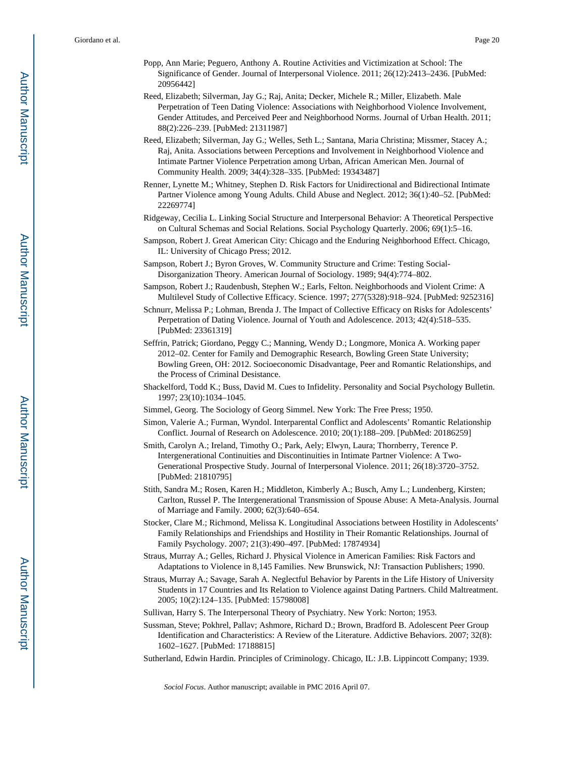- Popp, Ann Marie; Peguero, Anthony A. Routine Activities and Victimization at School: The Significance of Gender. Journal of Interpersonal Violence. 2011; 26(12):2413–2436. [PubMed: 20956442]
- Reed, Elizabeth; Silverman, Jay G.; Raj, Anita; Decker, Michele R.; Miller, Elizabeth. Male Perpetration of Teen Dating Violence: Associations with Neighborhood Violence Involvement, Gender Attitudes, and Perceived Peer and Neighborhood Norms. Journal of Urban Health. 2011; 88(2):226–239. [PubMed: 21311987]
- Reed, Elizabeth; Silverman, Jay G.; Welles, Seth L.; Santana, Maria Christina; Missmer, Stacey A.; Raj, Anita. Associations between Perceptions and Involvement in Neighborhood Violence and Intimate Partner Violence Perpetration among Urban, African American Men. Journal of Community Health. 2009; 34(4):328–335. [PubMed: 19343487]
- Renner, Lynette M.; Whitney, Stephen D. Risk Factors for Unidirectional and Bidirectional Intimate Partner Violence among Young Adults. Child Abuse and Neglect. 2012; 36(1):40–52. [PubMed: 22269774]
- Ridgeway, Cecilia L. Linking Social Structure and Interpersonal Behavior: A Theoretical Perspective on Cultural Schemas and Social Relations. Social Psychology Quarterly. 2006; 69(1):5–16.
- Sampson, Robert J. Great American City: Chicago and the Enduring Neighborhood Effect. Chicago, IL: University of Chicago Press; 2012.
- Sampson, Robert J.; Byron Groves, W. Community Structure and Crime: Testing Social-Disorganization Theory. American Journal of Sociology. 1989; 94(4):774–802.
- Sampson, Robert J.; Raudenbush, Stephen W.; Earls, Felton. Neighborhoods and Violent Crime: A Multilevel Study of Collective Efficacy. Science. 1997; 277(5328):918–924. [PubMed: 9252316]
- Schnurr, Melissa P.; Lohman, Brenda J. The Impact of Collective Efficacy on Risks for Adolescents' Perpetration of Dating Violence. Journal of Youth and Adolescence. 2013; 42(4):518–535. [PubMed: 23361319]
- Seffrin, Patrick; Giordano, Peggy C.; Manning, Wendy D.; Longmore, Monica A. Working paper 2012–02. Center for Family and Demographic Research, Bowling Green State University; Bowling Green, OH: 2012. Socioeconomic Disadvantage, Peer and Romantic Relationships, and the Process of Criminal Desistance.
- Shackelford, Todd K.; Buss, David M. Cues to Infidelity. Personality and Social Psychology Bulletin. 1997; 23(10):1034–1045.
- Simmel, Georg. The Sociology of Georg Simmel. New York: The Free Press; 1950.
- Simon, Valerie A.; Furman, Wyndol. Interparental Conflict and Adolescents' Romantic Relationship Conflict. Journal of Research on Adolescence. 2010; 20(1):188–209. [PubMed: 20186259]
- Smith, Carolyn A.; Ireland, Timothy O.; Park, Aely; Elwyn, Laura; Thornberry, Terence P. Intergenerational Continuities and Discontinuities in Intimate Partner Violence: A Two-Generational Prospective Study. Journal of Interpersonal Violence. 2011; 26(18):3720–3752. [PubMed: 21810795]
- Stith, Sandra M.; Rosen, Karen H.; Middleton, Kimberly A.; Busch, Amy L.; Lundenberg, Kirsten; Carlton, Russel P. The Intergenerational Transmission of Spouse Abuse: A Meta-Analysis. Journal of Marriage and Family. 2000; 62(3):640–654.
- Stocker, Clare M.; Richmond, Melissa K. Longitudinal Associations between Hostility in Adolescents' Family Relationships and Friendships and Hostility in Their Romantic Relationships. Journal of Family Psychology. 2007; 21(3):490–497. [PubMed: 17874934]
- Straus, Murray A.; Gelles, Richard J. Physical Violence in American Families: Risk Factors and Adaptations to Violence in 8,145 Families. New Brunswick, NJ: Transaction Publishers; 1990.
- Straus, Murray A.; Savage, Sarah A. Neglectful Behavior by Parents in the Life History of University Students in 17 Countries and Its Relation to Violence against Dating Partners. Child Maltreatment. 2005; 10(2):124–135. [PubMed: 15798008]

Sullivan, Harry S. The Interpersonal Theory of Psychiatry. New York: Norton; 1953.

- Sussman, Steve; Pokhrel, Pallav; Ashmore, Richard D.; Brown, Bradford B. Adolescent Peer Group Identification and Characteristics: A Review of the Literature. Addictive Behaviors. 2007; 32(8): 1602–1627. [PubMed: 17188815]
- Sutherland, Edwin Hardin. Principles of Criminology. Chicago, IL: J.B. Lippincott Company; 1939.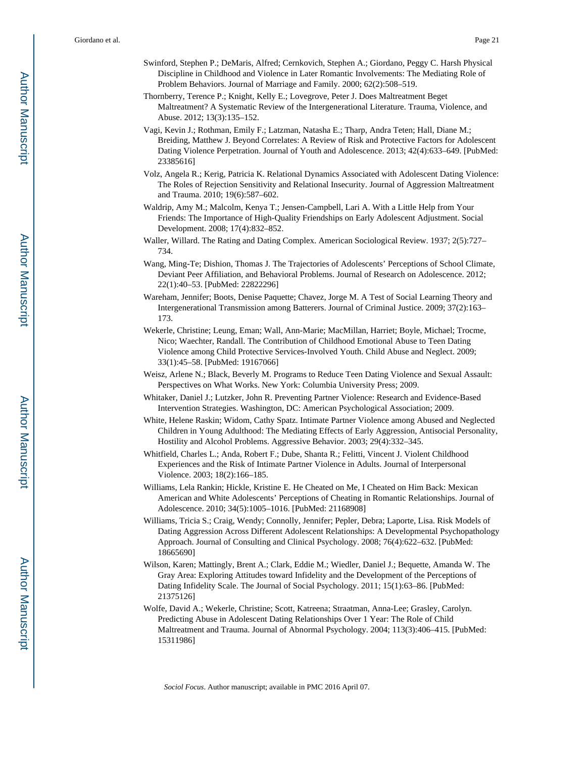- Swinford, Stephen P.; DeMaris, Alfred; Cernkovich, Stephen A.; Giordano, Peggy C. Harsh Physical Discipline in Childhood and Violence in Later Romantic Involvements: The Mediating Role of Problem Behaviors. Journal of Marriage and Family. 2000; 62(2):508–519.
- Thornberry, Terence P.; Knight, Kelly E.; Lovegrove, Peter J. Does Maltreatment Beget Maltreatment? A Systematic Review of the Intergenerational Literature. Trauma, Violence, and Abuse. 2012; 13(3):135–152.
- Vagi, Kevin J.; Rothman, Emily F.; Latzman, Natasha E.; Tharp, Andra Teten; Hall, Diane M.; Breiding, Matthew J. Beyond Correlates: A Review of Risk and Protective Factors for Adolescent Dating Violence Perpetration. Journal of Youth and Adolescence. 2013; 42(4):633–649. [PubMed: 23385616]
- Volz, Angela R.; Kerig, Patricia K. Relational Dynamics Associated with Adolescent Dating Violence: The Roles of Rejection Sensitivity and Relational Insecurity. Journal of Aggression Maltreatment and Trauma. 2010; 19(6):587–602.
- Waldrip, Amy M.; Malcolm, Kenya T.; Jensen-Campbell, Lari A. With a Little Help from Your Friends: The Importance of High-Quality Friendships on Early Adolescent Adjustment. Social Development. 2008; 17(4):832–852.
- Waller, Willard. The Rating and Dating Complex. American Sociological Review. 1937; 2(5):727– 734.
- Wang, Ming-Te; Dishion, Thomas J. The Trajectories of Adolescents' Perceptions of School Climate, Deviant Peer Affiliation, and Behavioral Problems. Journal of Research on Adolescence. 2012; 22(1):40–53. [PubMed: 22822296]
- Wareham, Jennifer; Boots, Denise Paquette; Chavez, Jorge M. A Test of Social Learning Theory and Intergenerational Transmission among Batterers. Journal of Criminal Justice. 2009; 37(2):163– 173.
- Wekerle, Christine; Leung, Eman; Wall, Ann-Marie; MacMillan, Harriet; Boyle, Michael; Trocme, Nico; Waechter, Randall. The Contribution of Childhood Emotional Abuse to Teen Dating Violence among Child Protective Services-Involved Youth. Child Abuse and Neglect. 2009; 33(1):45–58. [PubMed: 19167066]
- Weisz, Arlene N.; Black, Beverly M. Programs to Reduce Teen Dating Violence and Sexual Assault: Perspectives on What Works. New York: Columbia University Press; 2009.
- Whitaker, Daniel J.; Lutzker, John R. Preventing Partner Violence: Research and Evidence-Based Intervention Strategies. Washington, DC: American Psychological Association; 2009.
- White, Helene Raskin; Widom, Cathy Spatz. Intimate Partner Violence among Abused and Neglected Children in Young Adulthood: The Mediating Effects of Early Aggression, Antisocial Personality, Hostility and Alcohol Problems. Aggressive Behavior. 2003; 29(4):332–345.
- Whitfield, Charles L.; Anda, Robert F.; Dube, Shanta R.; Felitti, Vincent J. Violent Childhood Experiences and the Risk of Intimate Partner Violence in Adults. Journal of Interpersonal Violence. 2003; 18(2):166–185.
- Williams, Lela Rankin; Hickle, Kristine E. He Cheated on Me, I Cheated on Him Back: Mexican American and White Adolescents' Perceptions of Cheating in Romantic Relationships. Journal of Adolescence. 2010; 34(5):1005–1016. [PubMed: 21168908]
- Williams, Tricia S.; Craig, Wendy; Connolly, Jennifer; Pepler, Debra; Laporte, Lisa. Risk Models of Dating Aggression Across Different Adolescent Relationships: A Developmental Psychopathology Approach. Journal of Consulting and Clinical Psychology. 2008; 76(4):622–632. [PubMed: 18665690]
- Wilson, Karen; Mattingly, Brent A.; Clark, Eddie M.; Wiedler, Daniel J.; Bequette, Amanda W. The Gray Area: Exploring Attitudes toward Infidelity and the Development of the Perceptions of Dating Infidelity Scale. The Journal of Social Psychology. 2011; 15(1):63–86. [PubMed: 21375126]
- Wolfe, David A.; Wekerle, Christine; Scott, Katreena; Straatman, Anna-Lee; Grasley, Carolyn. Predicting Abuse in Adolescent Dating Relationships Over 1 Year: The Role of Child Maltreatment and Trauma. Journal of Abnormal Psychology. 2004; 113(3):406–415. [PubMed: 15311986]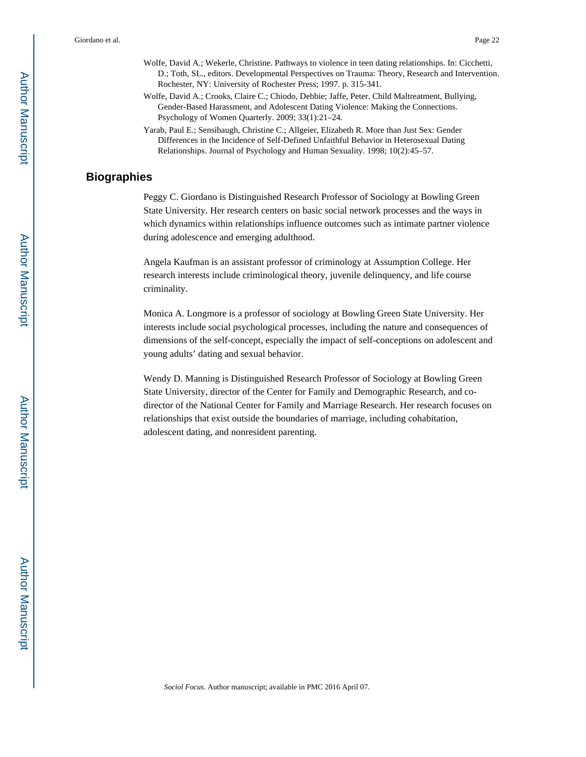- Wolfe, David A.; Wekerle, Christine. Pathways to violence in teen dating relationships. In: Cicchetti, D.; Toth, SL., editors. Developmental Perspectives on Trauma: Theory, Research and Intervention. Rochester, NY: University of Rochester Press; 1997. p. 315-341.
- Wolfe, David A.; Crooks, Claire C.; Chiodo, Debbie; Jaffe, Peter. Child Maltreatment, Bullying, Gender-Based Harassment, and Adolescent Dating Violence: Making the Connections. Psychology of Women Quarterly. 2009; 33(1):21–24.
- Yarab, Paul E.; Sensibaugh, Christine C.; Allgeier, Elizabeth R. More than Just Sex: Gender Differences in the Incidence of Self-Defined Unfaithful Behavior in Heterosexual Dating Relationships. Journal of Psychology and Human Sexuality. 1998; 10(2):45–57.

### **Biographies**

Peggy C. Giordano is Distinguished Research Professor of Sociology at Bowling Green State University. Her research centers on basic social network processes and the ways in which dynamics within relationships influence outcomes such as intimate partner violence during adolescence and emerging adulthood.

Angela Kaufman is an assistant professor of criminology at Assumption College. Her research interests include criminological theory, juvenile delinquency, and life course criminality.

Monica A. Longmore is a professor of sociology at Bowling Green State University. Her interests include social psychological processes, including the nature and consequences of dimensions of the self-concept, especially the impact of self-conceptions on adolescent and young adults' dating and sexual behavior.

Wendy D. Manning is Distinguished Research Professor of Sociology at Bowling Green State University, director of the Center for Family and Demographic Research, and codirector of the National Center for Family and Marriage Research. Her research focuses on relationships that exist outside the boundaries of marriage, including cohabitation, adolescent dating, and nonresident parenting.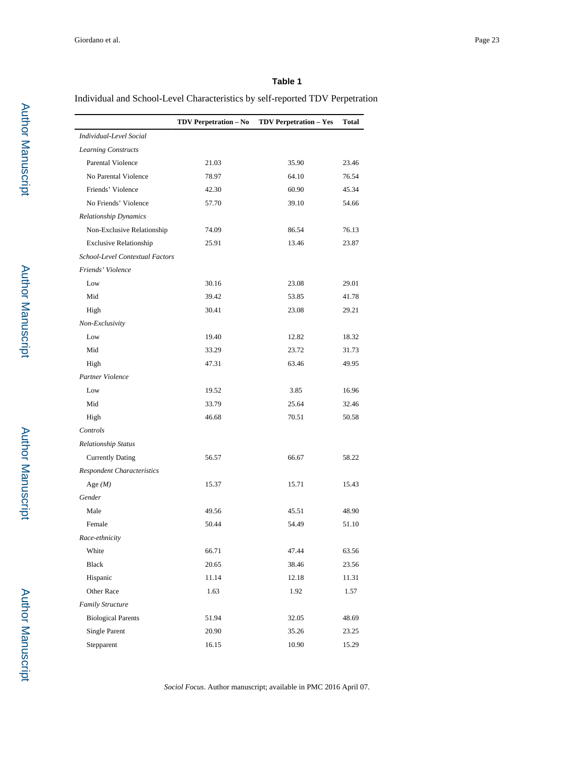#### **Table 1**

Individual and School-Level Characteristics by self-reported TDV Perpetration

|                                   | TDV Perpetration - No | <b>TDV Perpetration - Yes</b> | Total |
|-----------------------------------|-----------------------|-------------------------------|-------|
| Individual-Level Social           |                       |                               |       |
| <b>Learning Constructs</b>        |                       |                               |       |
| <b>Parental Violence</b>          | 21.03                 | 35.90                         | 23.46 |
| No Parental Violence              | 78.97                 | 64.10                         | 76.54 |
| Friends' Violence                 | 42.30                 | 60.90                         | 45.34 |
| No Friends' Violence              | 57.70                 | 39.10                         | 54.66 |
| <b>Relationship Dynamics</b>      |                       |                               |       |
| Non-Exclusive Relationship        | 74.09                 | 86.54                         | 76.13 |
| <b>Exclusive Relationship</b>     | 25.91                 | 13.46                         | 23.87 |
| School-Level Contextual Factors   |                       |                               |       |
| Friends' Violence                 |                       |                               |       |
| Low                               | 30.16                 | 23.08                         | 29.01 |
| Mid                               | 39.42                 | 53.85                         | 41.78 |
| High                              | 30.41                 | 23.08                         | 29.21 |
| Non-Exclusivity                   |                       |                               |       |
| Low                               | 19.40                 | 12.82                         | 18.32 |
| Mid                               | 33.29                 | 23.72                         | 31.73 |
| High                              | 47.31                 | 63.46                         | 49.95 |
| Partner Violence                  |                       |                               |       |
| Low                               | 19.52                 | 3.85                          | 16.96 |
| Mid                               | 33.79                 | 25.64                         | 32.46 |
| High                              | 46.68                 | 70.51                         | 50.58 |
| Controls                          |                       |                               |       |
| Relationship Status               |                       |                               |       |
| <b>Currently Dating</b>           | 56.57                 | 66.67                         | 58.22 |
| <b>Respondent Characteristics</b> |                       |                               |       |
| Age $(M)$                         | 15.37                 | 15.71                         | 15.43 |
| Gender                            |                       |                               |       |
| Male                              | 49.56                 | 45.51                         | 48.90 |
| Female                            | 50.44                 | 54.49                         | 51.10 |
| Race-ethnicity                    |                       |                               |       |
| White                             | 66.71                 | 47.44                         | 63.56 |
| <b>Black</b>                      | 20.65                 | 38.46                         | 23.56 |
| Hispanic                          | 11.14                 | 12.18                         | 11.31 |
| Other Race                        | 1.63                  | 1.92                          | 1.57  |
| Family Structure                  |                       |                               |       |
| <b>Biological Parents</b>         | 51.94                 | 32.05                         | 48.69 |
| Single Parent                     | 20.90                 | 35.26                         | 23.25 |
| Stepparent                        | 16.15                 | 10.90                         | 15.29 |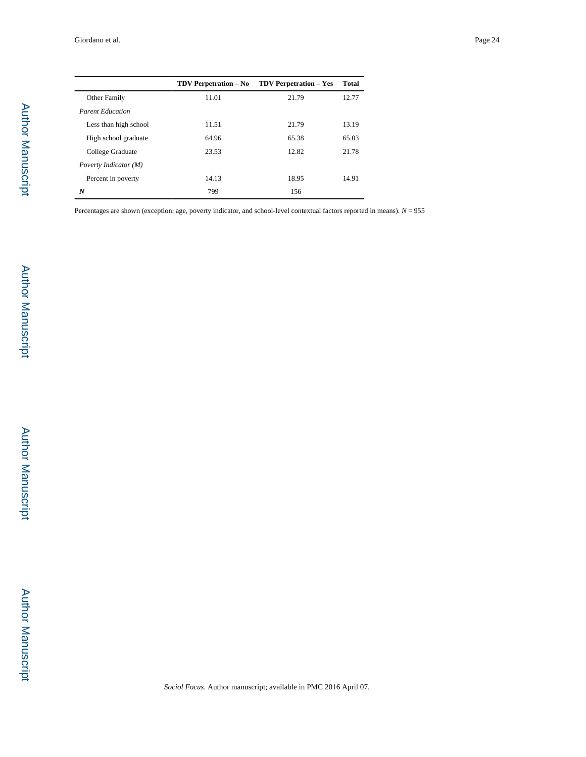|                         |       | $TDV$ Perpetration – No $TDV$ Perpetration – Yes | Total |
|-------------------------|-------|--------------------------------------------------|-------|
| Other Family            | 11.01 | 21.79                                            | 12.77 |
| <b>Parent Education</b> |       |                                                  |       |
| Less than high school   | 11.51 | 21.79                                            | 13.19 |
| High school graduate    | 64.96 | 65.38                                            | 65.03 |
| College Graduate        | 23.53 | 12.82                                            | 21.78 |
| Poverty Indicator (M)   |       |                                                  |       |
| Percent in poverty      | 14.13 | 18.95                                            | 14.91 |
| N                       | 799   | 156                                              |       |

Percentages are shown (exception: age, poverty indicator, and school-level contextual factors reported in means). *N* = 955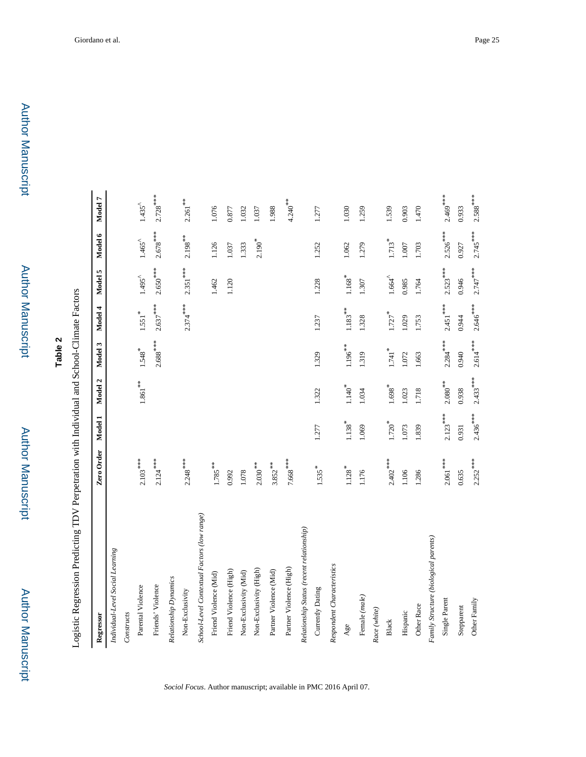# **Table 2**

Logistic Regression Predicting TDV Perpetration with Individual and School-Climate Factors Logistic Regression Predicting TDV Perpetration with Individual and School-Climate Factors

| Regressor                                   | Zero Order           | Model 1              | Model 2              | Model 3              | Model 4              | Model 5           | Model 6         | Model 7         |
|---------------------------------------------|----------------------|----------------------|----------------------|----------------------|----------------------|-------------------|-----------------|-----------------|
| Individual-Level Social Learning            |                      |                      |                      |                      |                      |                   |                 |                 |
| Constructs                                  |                      |                      |                      |                      |                      |                   |                 |                 |
| Parental Violence                           | $2.103***$           |                      | $1.861^{\ast\ast}$   | $1.548$ <sup>*</sup> | $1.551$ <sup>*</sup> | $1.495^{\circ}$   | $1.465^{\circ}$ | $1.435^{\circ}$ |
| Friends' Violence                           | $2.124***$           |                      |                      | $2.688***$           | $2.637***$           | $2.650***$        | $2.678***$      | $2.728***$      |
| Relationship Dynamics                       |                      |                      |                      |                      |                      |                   |                 |                 |
| Non-Exclusivity                             | $2.248***$           |                      |                      |                      | $2.374***$           | $2.351***$        | $2.198***$      | $2.261***$      |
| School-Level Contextual Factors (low range) |                      |                      |                      |                      |                      |                   |                 |                 |
| Friend Violence (Mid)                       | $1.785***$           |                      |                      |                      |                      | 1.462             | 1.126           | 1.076           |
| Friend Violence (High)                      | 0.992                |                      |                      |                      |                      | 1.120             | 1.037           | 0.877           |
| Non-Exclusivity (Mid)                       | 1.078                |                      |                      |                      |                      |                   | 1.333           | 1.032           |
| Non-Exclusivity (High)                      | $2.030***$           |                      |                      |                      |                      |                   | $2.190*$        | 1.037           |
| Partner Violence (Mid)                      | $3.852***$           |                      |                      |                      |                      |                   |                 | 1.988           |
| Partner Violence (High)                     | $7.668***$           |                      |                      |                      |                      |                   |                 | $4.240***$      |
| Relationship Status (recent relationship)   |                      |                      |                      |                      |                      |                   |                 |                 |
| Currently Dating                            | $1.535*$             | 1.277                | 1.322                | 1.329                | 1.237                | 1.228             | 1.252           | 1.277           |
| Respondent Characteristics                  |                      |                      |                      |                      |                      |                   |                 |                 |
| Age                                         | $1.128$ <sup>*</sup> | $1.138*$             | $1.140*$             | $1.196***$           | $1.183***$           | $1.168$ $^{\ast}$ | 1.062           | 1.030           |
| Female (male)                               | 1.176                | 1.069                | 1.034                | 1.319                | 1.328                | 1.307             | 1.279           | 1.259           |
| Race (white)                                |                      |                      |                      |                      |                      |                   |                 |                 |
| <b>Black</b>                                | $2.402***$           | $1.720$ <sup>*</sup> | $1.698$ <sup>*</sup> | $1.741$ <sup>*</sup> | $1.727$ <sup>*</sup> | $1.664^{\wedge}$  | $1.713*$        | 1.539           |
| Hispanic                                    | 1.106                | 1.073                | 1.023                | 1.072                | 1.029                | 0.985             | $1.007$         | 0.903           |
| Other Race                                  | 1.286                | 1.839                | 1.718                | 1.663                | 1.753                | 1.764             | 1.703           | 1.470           |
| Family Structure (biological parents)       |                      |                      |                      |                      |                      |                   |                 |                 |
| Single Parent                               | $2.061***$           | $2.123***$           | $2.080***$           | $2.284***$           | $2.451***$           | $2.523***$        | $2.526***$      | $2.469***$      |
| Stepparent                                  | 0.635                | 0.931                | 0.938                | 0.940                | 0.944                | 0.946             | 0.927           | 0.933           |
| Other Family                                | $2.252***$           | $2.436***$           | $2.433***$           | $2.614***$           | $2.646***$           | $2.747***$        | $2.745***$      | $2.588***$      |